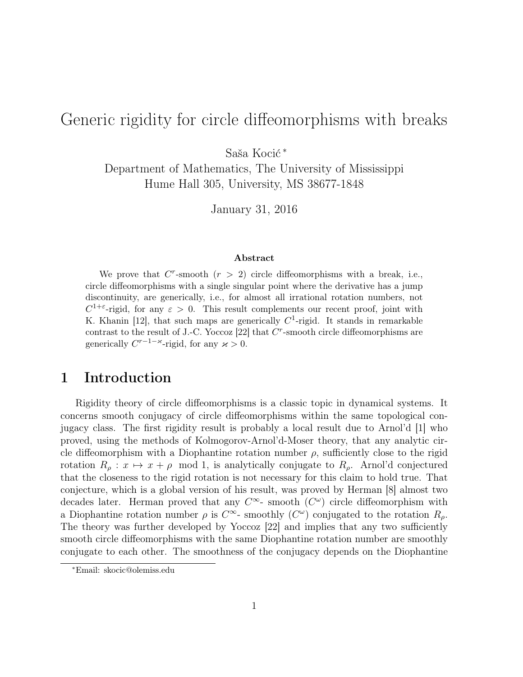# Generic rigidity for circle diffeomorphisms with breaks

Saša Kocić <sup>∗</sup>

Department of Mathematics, The University of Mississippi Hume Hall 305, University, MS 38677-1848

January 31, 2016

#### Abstract

We prove that  $C^r$ -smooth  $(r > 2)$  circle diffeomorphisms with a break, i.e., circle diffeomorphisms with a single singular point where the derivative has a jump discontinuity, are generically, i.e., for almost all irrational rotation numbers, not  $C^{1+\epsilon}$ -rigid, for any  $\epsilon > 0$ . This result complements our recent proof, joint with K. Khanin [12], that such maps are generically  $C^1$ -rigid. It stands in remarkable contrast to the result of J.-C. Yoccoz  $[22]$  that  $C<sup>r</sup>$ -smooth circle diffeomorphisms are generically  $C^{r-1-\varkappa}$ -rigid, for any  $\varkappa > 0$ .

## 1 Introduction

Rigidity theory of circle diffeomorphisms is a classic topic in dynamical systems. It concerns smooth conjugacy of circle diffeomorphisms within the same topological conjugacy class. The first rigidity result is probably a local result due to Arnol'd [1] who proved, using the methods of Kolmogorov-Arnol'd-Moser theory, that any analytic circle diffeomorphism with a Diophantine rotation number  $\rho$ , sufficiently close to the rigid rotation  $R_{\rho}: x \mapsto x + \rho \mod 1$ , is analytically conjugate to  $R_{\rho}$ . Arnol'd conjectured that the closeness to the rigid rotation is not necessary for this claim to hold true. That conjecture, which is a global version of his result, was proved by Herman [8] almost two decades later. Herman proved that any  $C^{\infty}$ - smooth  $(C^{\omega})$  circle diffeomorphism with a Diophantine rotation number  $\rho$  is  $C^{\infty}$ - smoothly  $(C^{\omega})$  conjugated to the rotation  $R_{\rho}$ . The theory was further developed by Yoccoz [22] and implies that any two sufficiently smooth circle diffeomorphisms with the same Diophantine rotation number are smoothly conjugate to each other. The smoothness of the conjugacy depends on the Diophantine

<sup>∗</sup>Email: skocic@olemiss.edu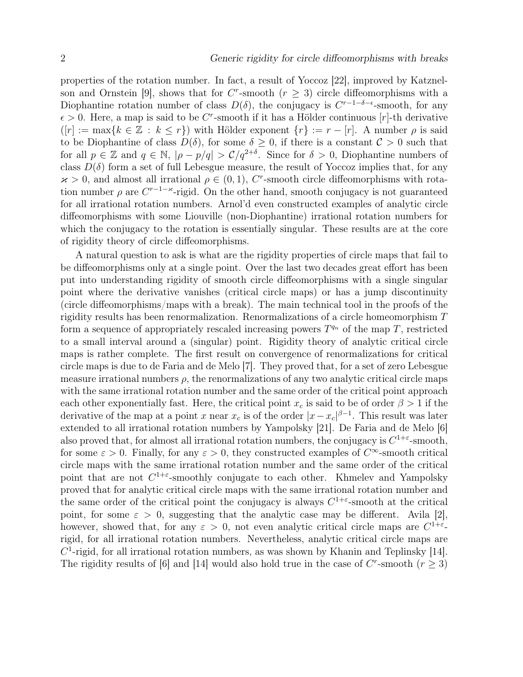properties of the rotation number. In fact, a result of Yoccoz [22], improved by Katznelson and Ornstein [9], shows that for C<sup>r</sup>-smooth ( $r \geq 3$ ) circle diffeomorphisms with a Diophantine rotation number of class  $D(\delta)$ , the conjugacy is  $C^{r-1-\delta-\epsilon}$ -smooth, for any  $\epsilon > 0$ . Here, a map is said to be C<sup>r</sup>-smooth if it has a Hölder continuous [r]-th derivative  $([r] := \max\{k \in \mathbb{Z} : k \leq r\})$  with Hölder exponent  $\{r\} := r - [r]$ . A number  $\rho$  is said to be Diophantine of class  $D(\delta)$ , for some  $\delta \geq 0$ , if there is a constant  $\mathcal{C} > 0$  such that for all  $p \in \mathbb{Z}$  and  $q \in \mathbb{N}$ ,  $|\rho - p/q| > C/q^{2+\delta}$ . Since for  $\delta > 0$ , Diophantine numbers of class  $D(\delta)$  form a set of full Lebesgue measure, the result of Yoccoz implies that, for any  $x > 0$ , and almost all irrational  $\rho \in (0, 1)$ , C<sup>r</sup>-smooth circle diffeomorphisms with rotation number  $\rho$  are  $C^{r-1-\varkappa}$ -rigid. On the other hand, smooth conjugacy is not guaranteed for all irrational rotation numbers. Arnol'd even constructed examples of analytic circle diffeomorphisms with some Liouville (non-Diophantine) irrational rotation numbers for which the conjugacy to the rotation is essentially singular. These results are at the core of rigidity theory of circle diffeomorphisms.

A natural question to ask is what are the rigidity properties of circle maps that fail to be diffeomorphisms only at a single point. Over the last two decades great effort has been put into understanding rigidity of smooth circle diffeomorphisms with a single singular point where the derivative vanishes (critical circle maps) or has a jump discontinuity (circle diffeomorphisms/maps with a break). The main technical tool in the proofs of the rigidity results has been renormalization. Renormalizations of a circle homeomorphism T form a sequence of appropriately rescaled increasing powers  $T^{q_n}$  of the map T, restricted to a small interval around a (singular) point. Rigidity theory of analytic critical circle maps is rather complete. The first result on convergence of renormalizations for critical circle maps is due to de Faria and de Melo [7]. They proved that, for a set of zero Lebesgue measure irrational numbers  $\rho$ , the renormalizations of any two analytic critical circle maps with the same irrational rotation number and the same order of the critical point approach each other exponentially fast. Here, the critical point  $x_c$  is said to be of order  $\beta > 1$  if the derivative of the map at a point x near  $x_c$  is of the order  $|x-x_c|^{\beta-1}$ . This result was later extended to all irrational rotation numbers by Yampolsky [21]. De Faria and de Melo [6] also proved that, for almost all irrational rotation numbers, the conjugacy is  $C^{1+\varepsilon}$ -smooth, for some  $\varepsilon > 0$ . Finally, for any  $\varepsilon > 0$ , they constructed examples of  $C^{\infty}$ -smooth critical circle maps with the same irrational rotation number and the same order of the critical point that are not  $C^{1+\epsilon}$ -smoothly conjugate to each other. Khmelev and Yampolsky proved that for analytic critical circle maps with the same irrational rotation number and the same order of the critical point the conjugacy is always  $C^{1+\varepsilon}$ -smooth at the critical point, for some  $\varepsilon > 0$ , suggesting that the analytic case may be different. Avila [2], however, showed that, for any  $\varepsilon > 0$ , not even analytic critical circle maps are  $C^{1+\varepsilon}$ . rigid, for all irrational rotation numbers. Nevertheless, analytic critical circle maps are  $C<sup>1</sup>$ -rigid, for all irrational rotation numbers, as was shown by Khanin and Teplinsky [14]. The rigidity results of [6] and [14] would also hold true in the case of  $C^r$ -smooth  $(r \geq 3)$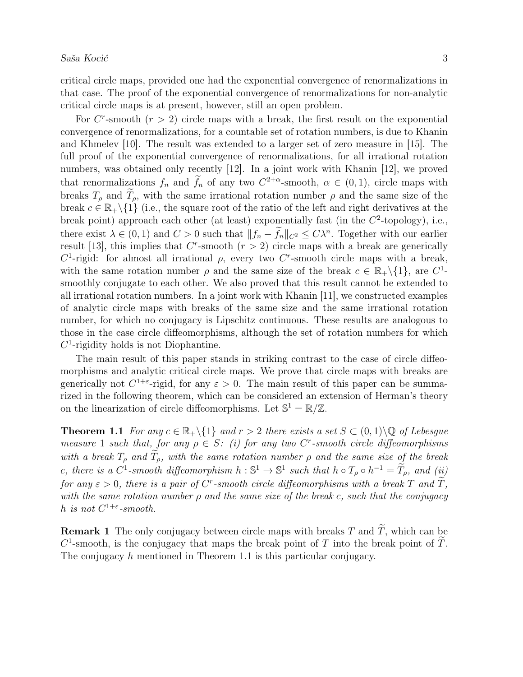critical circle maps, provided one had the exponential convergence of renormalizations in that case. The proof of the exponential convergence of renormalizations for non-analytic critical circle maps is at present, however, still an open problem.

For  $C^r$ -smooth  $(r > 2)$  circle maps with a break, the first result on the exponential convergence of renormalizations, for a countable set of rotation numbers, is due to Khanin and Khmelev [10]. The result was extended to a larger set of zero measure in [15]. The full proof of the exponential convergence of renormalizations, for all irrational rotation numbers, was obtained only recently [12]. In a joint work with Khanin [12], we proved that renormalizations  $f_n$  and  $f_n$  of any two  $C^{2+\alpha}$ -smooth,  $\alpha \in (0,1)$ , circle maps with breaks  $T_{\rho}$  and  $\tilde{T}_{\rho}$ , with the same irrational rotation number  $\rho$  and the same size of the break  $c \in \mathbb{R}_+ \setminus \{1\}$  (i.e., the square root of the ratio of the left and right derivatives at the break point) approach each other (at least) exponentially fast (in the  $C^2$ -topology), i.e., there exist  $\lambda \in (0,1)$  and  $C > 0$  such that  $||f_n - f_n||_{C^2} \leq C\lambda^n$ . Together with our earlier result [13], this implies that  $C^r$ -smooth  $(r > 2)$  circle maps with a break are generically C<sup>1</sup>-rigid: for almost all irrational  $\rho$ , every two C<sup>r</sup>-smooth circle maps with a break, with the same rotation number  $\rho$  and the same size of the break  $c \in \mathbb{R}_+\backslash \{1\}$ , are  $C^1$ smoothly conjugate to each other. We also proved that this result cannot be extended to all irrational rotation numbers. In a joint work with Khanin [11], we constructed examples of analytic circle maps with breaks of the same size and the same irrational rotation number, for which no conjugacy is Lipschitz continuous. These results are analogous to those in the case circle diffeomorphisms, although the set of rotation numbers for which  $C<sup>1</sup>$ -rigidity holds is not Diophantine.

The main result of this paper stands in striking contrast to the case of circle diffeomorphisms and analytic critical circle maps. We prove that circle maps with breaks are generically not  $C^{1+\epsilon}$ -rigid, for any  $\epsilon > 0$ . The main result of this paper can be summarized in the following theorem, which can be considered an extension of Herman's theory on the linearization of circle diffeomorphisms. Let  $\mathbb{S}^1 = \mathbb{R}/\mathbb{Z}$ .

**Theorem 1.1** For any  $c \in \mathbb{R}_+ \setminus \{1\}$  and  $r > 2$  there exists a set  $S \subset (0,1) \setminus \mathbb{Q}$  of Lebesgue measure 1 such that, for any  $\rho \in S$ : (i) for any two C<sup>r</sup>-smooth circle diffeomorphisms with a break  $T_{\rho}$  and  $T_{\rho}$ , with the same rotation number  $\rho$  and the same size of the break c, there is a  $C^1$ -smooth diffeomorphism  $h : \mathbb{S}^1 \to \mathbb{S}^1$  such that  $h \circ T_\rho \circ h^{-1} = \widetilde{T}_\rho$ , and  $(ii) \geq i$ for any  $\varepsilon > 0$ , there is a pair of C<sup>r</sup>-smooth circle diffeomorphisms with a break T and  $\tilde{T}$ , with the same rotation number  $\rho$  and the same size of the break c, such that the conjugacy h is not  $C^{1+\varepsilon}$ -smooth.

**Remark 1** The only conjugacy between circle maps with breaks T and  $\widetilde{T}$ , which can be  $C^1$ -smooth, is the conjugacy that maps the break point of T into the break point of  $\tilde{T}$ . The conjugacy h mentioned in Theorem 1.1 is this particular conjugacy.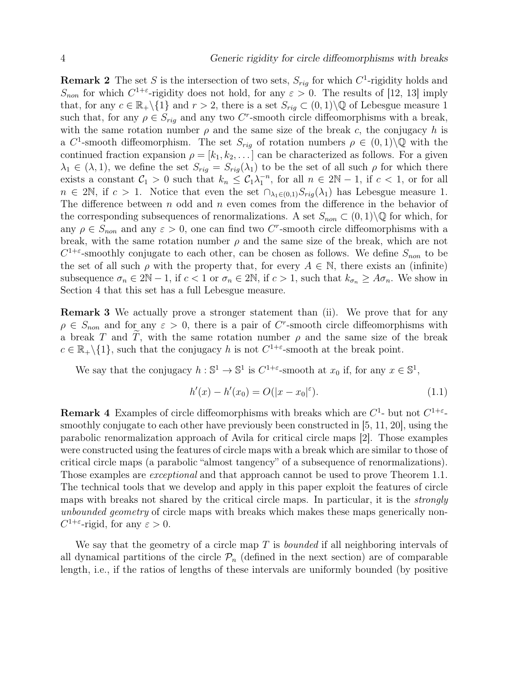**Remark 2** The set S is the intersection of two sets,  $S_{rig}$  for which  $C^1$ -rigidity holds and  $S_{non}$  for which  $C^{1+\epsilon}$ -rigidity does not hold, for any  $\epsilon > 0$ . The results of [12, 13] imply that, for any  $c \in \mathbb{R}_+ \setminus \{1\}$  and  $r > 2$ , there is a set  $S_{riq} \subset (0,1) \setminus \mathbb{Q}$  of Lebesgue measure 1 such that, for any  $\rho \in S_{rig}$  and any two C<sup>r</sup>-smooth circle diffeomorphisms with a break, with the same rotation number  $\rho$  and the same size of the break c, the conjugacy h is a C<sup>1</sup>-smooth diffeomorphism. The set  $S_{rig}$  of rotation numbers  $\rho \in (0,1)\backslash \mathbb{Q}$  with the continued fraction expansion  $\rho = [k_1, k_2, \dots]$  can be characterized as follows. For a given  $\lambda_1 \in (\lambda, 1)$ , we define the set  $S_{riq} = S_{riq}(\lambda_1)$  to be the set of all such  $\rho$  for which there exists a constant  $C_1 > 0$  such that  $k_n \leq C_1 \lambda_1^{-n}$ , for all  $n \in 2\mathbb{N} - 1$ , if  $c < 1$ , or for all  $n \in 2\mathbb{N}$ , if  $c > 1$ . Notice that even the set  $\bigcap_{\lambda_1 \in (0,1)} S_{riq}(\lambda_1)$  has Lebesgue measure 1. The difference between  $n$  odd and  $n$  even comes from the difference in the behavior of the corresponding subsequences of renormalizations. A set  $S_{non} \subset (0,1) \backslash \mathbb{Q}$  for which, for any  $\rho \in S_{non}$  and any  $\varepsilon > 0$ , one can find two C<sup>r</sup>-smooth circle diffeomorphisms with a break, with the same rotation number  $\rho$  and the same size of the break, which are not  $C^{1+\varepsilon}$ -smoothly conjugate to each other, can be chosen as follows. We define  $S_{non}$  to be the set of all such  $\rho$  with the property that, for every  $A \in \mathbb{N}$ , there exists an (infinite) subsequence  $\sigma_n \in 2\mathbb{N} - 1$ , if  $c < 1$  or  $\sigma_n \in 2\mathbb{N}$ , if  $c > 1$ , such that  $k_{\sigma_n} \geq A\sigma_n$ . We show in Section 4 that this set has a full Lebesgue measure.

Remark 3 We actually prove a stronger statement than (ii). We prove that for any  $\rho \in S_{non}$  and for any  $\varepsilon > 0$ , there is a pair of C<sup>r</sup>-smooth circle diffeomorphisms with a break T and T, with the same rotation number  $\rho$  and the same size of the break  $c \in \mathbb{R}_+ \backslash \{1\}$ , such that the conjugacy h is not  $C^{1+\varepsilon}$ -smooth at the break point.

We say that the conjugacy  $h : \mathbb{S}^1 \to \mathbb{S}^1$  is  $C^{1+\varepsilon}$ -smooth at  $x_0$  if, for any  $x \in \mathbb{S}^1$ ,

$$
h'(x) - h'(x_0) = O(|x - x_0|^{\varepsilon}).
$$
\n(1.1)

**Remark 4** Examples of circle diffeomorphisms with breaks which are  $C^1$ - but not  $C^{1+\epsilon}$ smoothly conjugate to each other have previously been constructed in [5, 11, 20], using the parabolic renormalization approach of Avila for critical circle maps [2]. Those examples were constructed using the features of circle maps with a break which are similar to those of critical circle maps (a parabolic "almost tangency" of a subsequence of renormalizations). Those examples are *exceptional* and that approach cannot be used to prove Theorem 1.1. The technical tools that we develop and apply in this paper exploit the features of circle maps with breaks not shared by the critical circle maps. In particular, it is the strongly unbounded geometry of circle maps with breaks which makes these maps generically non- $C^{1+\epsilon}$ -rigid, for any  $\epsilon > 0$ .

We say that the geometry of a circle map  $T$  is *bounded* if all neighboring intervals of all dynamical partitions of the circle  $\mathcal{P}_n$  (defined in the next section) are of comparable length, i.e., if the ratios of lengths of these intervals are uniformly bounded (by positive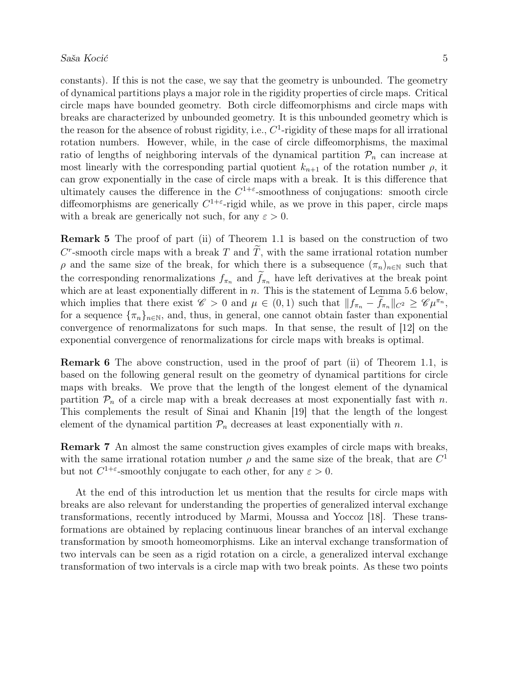constants). If this is not the case, we say that the geometry is unbounded. The geometry of dynamical partitions plays a major role in the rigidity properties of circle maps. Critical circle maps have bounded geometry. Both circle diffeomorphisms and circle maps with breaks are characterized by unbounded geometry. It is this unbounded geometry which is the reason for the absence of robust rigidity, i.e.,  $C<sup>1</sup>$ -rigidity of these maps for all irrational rotation numbers. However, while, in the case of circle diffeomorphisms, the maximal ratio of lengths of neighboring intervals of the dynamical partition  $\mathcal{P}_n$  can increase at most linearly with the corresponding partial quotient  $k_{n+1}$  of the rotation number  $\rho$ , it can grow exponentially in the case of circle maps with a break. It is this difference that ultimately causes the difference in the  $C^{1+\varepsilon}$ -smoothness of conjugations: smooth circle diffeomorphisms are generically  $C^{1+\epsilon}$ -rigid while, as we prove in this paper, circle maps with a break are generically not such, for any  $\varepsilon > 0$ .

Remark 5 The proof of part (ii) of Theorem 1.1 is based on the construction of two  $C^r$ -smooth circle maps with a break  $T$  and  $\overline{T}$ , with the same irrational rotation number  $ρ$  and the same size of the break, for which there is a subsequence  $(π<sub>n</sub>)<sub>n∈N</sub>$  such that the corresponding renormalizations  $f_{\pi_n}$  and  $\tilde{f}_{\pi_n}$  have left derivatives at the break point which are at least exponentially different in  $n$ . This is the statement of Lemma 5.6 below, which implies that there exist  $\mathscr{C} > 0$  and  $\mu \in (0, 1)$  such that  $||f_{\pi_n} - \tilde{f}_{\pi_n}||_{C^2} \geq \mathscr{C} \mu^{\pi_n}$ , for a sequence  ${\lbrace \pi_n \rbrace_{n \in \mathbb{N}}},$  and, thus, in general, one cannot obtain faster than exponential convergence of renormalizatons for such maps. In that sense, the result of [12] on the exponential convergence of renormalizations for circle maps with breaks is optimal.

Remark 6 The above construction, used in the proof of part (ii) of Theorem 1.1, is based on the following general result on the geometry of dynamical partitions for circle maps with breaks. We prove that the length of the longest element of the dynamical partition  $P_n$  of a circle map with a break decreases at most exponentially fast with n. This complements the result of Sinai and Khanin [19] that the length of the longest element of the dynamical partition  $\mathcal{P}_n$  decreases at least exponentially with n.

Remark 7 An almost the same construction gives examples of circle maps with breaks, with the same irrational rotation number  $\rho$  and the same size of the break, that are  $C^1$ but not  $C^{1+\epsilon}$ -smoothly conjugate to each other, for any  $\epsilon > 0$ .

At the end of this introduction let us mention that the results for circle maps with breaks are also relevant for understanding the properties of generalized interval exchange transformations, recently introduced by Marmi, Moussa and Yoccoz [18]. These transformations are obtained by replacing continuous linear branches of an interval exchange transformation by smooth homeomorphisms. Like an interval exchange transformation of two intervals can be seen as a rigid rotation on a circle, a generalized interval exchange transformation of two intervals is a circle map with two break points. As these two points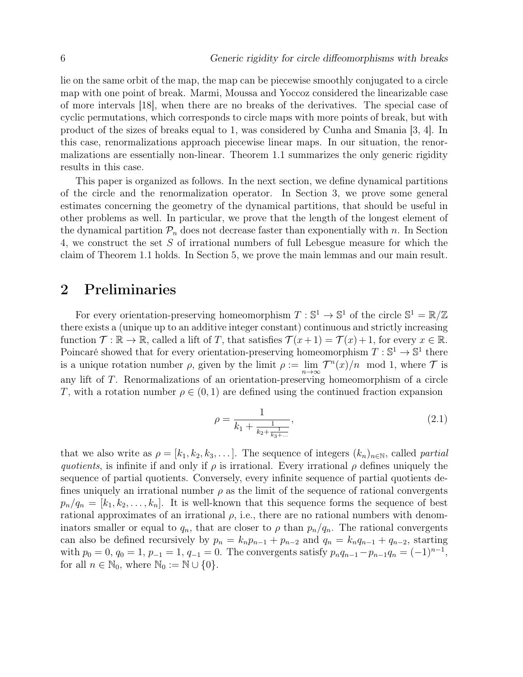lie on the same orbit of the map, the map can be piecewise smoothly conjugated to a circle map with one point of break. Marmi, Moussa and Yoccoz considered the linearizable case of more intervals [18], when there are no breaks of the derivatives. The special case of cyclic permutations, which corresponds to circle maps with more points of break, but with product of the sizes of breaks equal to 1, was considered by Cunha and Smania [3, 4]. In this case, renormalizations approach piecewise linear maps. In our situation, the renormalizations are essentially non-linear. Theorem 1.1 summarizes the only generic rigidity results in this case.

This paper is organized as follows. In the next section, we define dynamical partitions of the circle and the renormalization operator. In Section 3, we prove some general estimates concerning the geometry of the dynamical partitions, that should be useful in other problems as well. In particular, we prove that the length of the longest element of the dynamical partition  $\mathcal{P}_n$  does not decrease faster than exponentially with n. In Section 4, we construct the set S of irrational numbers of full Lebesgue measure for which the claim of Theorem 1.1 holds. In Section 5, we prove the main lemmas and our main result.

# 2 Preliminaries

For every orientation-preserving homeomorphism  $T : \mathbb{S}^1 \to \mathbb{S}^1$  of the circle  $\mathbb{S}^1 = \mathbb{R}/\mathbb{Z}$ there exists a (unique up to an additive integer constant) continuous and strictly increasing function  $\mathcal{T} : \mathbb{R} \to \mathbb{R}$ , called a lift of T, that satisfies  $\mathcal{T}(x+1) = \mathcal{T}(x)+1$ , for every  $x \in \mathbb{R}$ . Poincaré showed that for every orientation-preserving homeomorphism  $T : \mathbb{S}^1 \to \mathbb{S}^1$  there is a unique rotation number  $\rho$ , given by the limit  $\rho := \lim_{n \to \infty} T^n(x)/n \mod 1$ , where  $\mathcal T$  is any lift of T. Renormalizations of an orientation-preserving homeomorphism of a circle T, with a rotation number  $\rho \in (0, 1)$  are defined using the continued fraction expansion

$$
\rho = \frac{1}{k_1 + \frac{1}{k_2 + \frac{1}{k_3 + \dots}}},\tag{2.1}
$$

that we also write as  $\rho = [k_1, k_2, k_3, \dots]$ . The sequence of integers  $(k_n)_{n \in \mathbb{N}}$ , called partial *quotients*, is infinite if and only if  $\rho$  is irrational. Every irrational  $\rho$  defines uniquely the sequence of partial quotients. Conversely, every infinite sequence of partial quotients defines uniquely an irrational number  $\rho$  as the limit of the sequence of rational convergents  $p_n/q_n = [k_1, k_2, \ldots, k_n]$ . It is well-known that this sequence forms the sequence of best rational approximates of an irrational  $\rho$ , i.e., there are no rational numbers with denominators smaller or equal to  $q_n$ , that are closer to  $\rho$  than  $p_n/q_n$ . The rational convergents can also be defined recursively by  $p_n = k_n p_{n-1} + p_{n-2}$  and  $q_n = k_n q_{n-1} + q_{n-2}$ , starting with  $p_0 = 0$ ,  $q_0 = 1$ ,  $p_{-1} = 1$ ,  $q_{-1} = 0$ . The convergents satisfy  $p_n q_{n-1} - p_{n-1} q_n = (-1)^{n-1}$ , for all  $n \in \mathbb{N}_0$ , where  $\mathbb{N}_0 := \mathbb{N} \cup \{0\}.$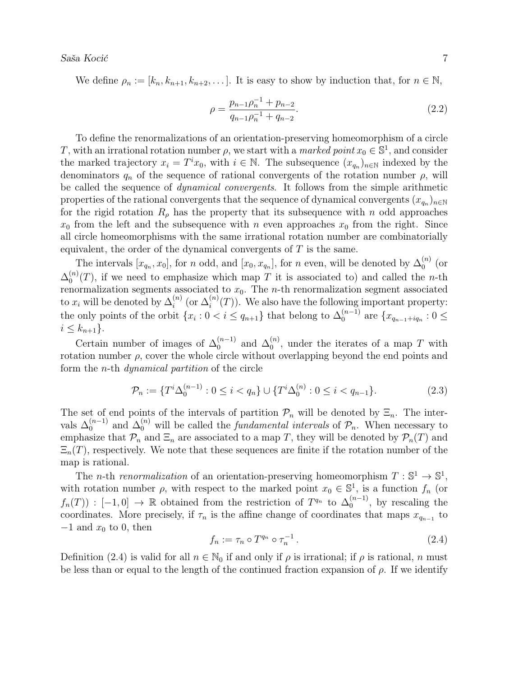We define  $\rho_n := [k_n, k_{n+1}, k_{n+2}, \dots]$ . It is easy to show by induction that, for  $n \in \mathbb{N}$ ,

$$
\rho = \frac{p_{n-1}\rho_n^{-1} + p_{n-2}}{q_{n-1}\rho_n^{-1} + q_{n-2}}.\tag{2.2}
$$

To define the renormalizations of an orientation-preserving homeomorphism of a circle T, with an irrational rotation number  $\rho$ , we start with a *marked point*  $x_0 \in \mathbb{S}^1$ , and consider the marked trajectory  $x_i = T^i x_0$ , with  $i \in \mathbb{N}$ . The subsequence  $(x_{q_n})_{n \in \mathbb{N}}$  indexed by the denominators  $q_n$  of the sequence of rational convergents of the rotation number  $\rho$ , will be called the sequence of *dynamical convergents*. It follows from the simple arithmetic properties of the rational convergents that the sequence of dynamical convergents  $(x_{q_n})_{n\in\mathbb{N}}$ for the rigid rotation  $R_{\rho}$  has the property that its subsequence with n odd approaches  $x_0$  from the left and the subsequence with n even approaches  $x_0$  from the right. Since all circle homeomorphisms with the same irrational rotation number are combinatorially equivalent, the order of the dynamical convergents of  $T$  is the same.

The intervals  $[x_{q_n}, x_0]$ , for n odd, and  $[x_0, x_{q_n}]$ , for n even, will be denoted by  $\Delta_0^{(n)}$  $\big\|_0^{(n)}$  (or  $\Delta_0^{(n)}$  $\binom{n}{0}(T)$ , if we need to emphasize which map T it is associated to) and called the *n*-th renormalization segments associated to  $x_0$ . The *n*-th renormalization segment associated to  $x_i$  will be denoted by  $\Delta_i^{(n)}$  $i^{(n)}$  (or  $\Delta_i^{(n)}$  $\binom{n}{i}(T)$ . We also have the following important property: the only points of the orbit  $\{x_i : 0 < i \le q_{n+1}\}\)$  that belong to  $\Delta_0^{(n-1)}$  $a_0^{(n-1)}$  are  $\{x_{q_{n-1}+iq_n} : 0 \leq$  $i \leq k_{n+1}$ .

Certain number of images of  $\Delta_0^{(n-1)}$  $\mathcal{L}_0^{(n-1)}$  and  $\Delta_0^{(n)}$  $_{0}^{(n)}$ , under the iterates of a map T with rotation number  $\rho$ , cover the whole circle without overlapping beyond the end points and form the n-th dynamical partition of the circle

$$
\mathcal{P}_n := \{ T^i \Delta_0^{(n-1)} : 0 \le i < q_n \} \cup \{ T^i \Delta_0^{(n)} : 0 \le i < q_{n-1} \}. \tag{2.3}
$$

The set of end points of the intervals of partition  $\mathcal{P}_n$  will be denoted by  $\Xi_n$ . The intervals  $\Delta_0^{(n-1)}$  $\int_0^{(n-1)}$  and  $\Delta_0^{(n)}$  will be called the *fundamental intervals* of  $\mathcal{P}_n$ . When necessary to emphasize that  $\mathcal{P}_n$  and  $\Xi_n$  are associated to a map T, they will be denoted by  $\mathcal{P}_n(T)$  and  $\Xi_n(T)$ , respectively. We note that these sequences are finite if the rotation number of the map is rational.

The *n*-th renormalization of an orientation-preserving homeomorphism  $T : \mathbb{S}^1 \to \mathbb{S}^1$ , with rotation number  $\rho$ , with respect to the marked point  $x_0 \in \mathbb{S}^1$ , is a function  $f_n$  (or  $f_n(T)$  :  $[-1,0] \to \mathbb{R}$  obtained from the restriction of  $T^{q_n}$  to  $\Delta_0^{(n-1)}$  $\binom{n-1}{0}$ , by rescaling the coordinates. More precisely, if  $\tau_n$  is the affine change of coordinates that maps  $x_{q_{n-1}}$  to  $-1$  and  $x_0$  to 0, then

$$
f_n := \tau_n \circ T^{q_n} \circ \tau_n^{-1} \,. \tag{2.4}
$$

Definition (2.4) is valid for all  $n \in \mathbb{N}_0$  if and only if  $\rho$  is irrational; if  $\rho$  is rational, n must be less than or equal to the length of the continued fraction expansion of  $\rho$ . If we identify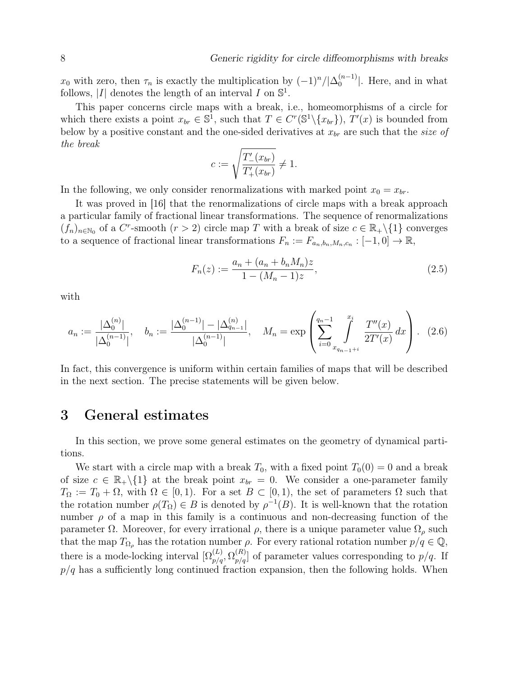$x_0$  with zero, then  $\tau_n$  is exactly the multiplication by  $(-1)^n/|\Delta_0^{(n-1)}|$  $\binom{n-1}{0}$ . Here, and in what follows, |I| denotes the length of an interval I on  $\mathbb{S}^1$ .

This paper concerns circle maps with a break, i.e., homeomorphisms of a circle for which there exists a point  $x_{br} \in \mathbb{S}^1$ , such that  $T \in C^r(\mathbb{S}^1 \setminus \{x_{br}\})$ ,  $T'(x)$  is bounded from below by a positive constant and the one-sided derivatives at  $x_{br}$  are such that the size of the break

$$
c := \sqrt{\frac{T'_{-}(x_{br})}{T'_{+}(x_{br})}} \neq 1.
$$

In the following, we only consider renormalizations with marked point  $x_0 = x_{br}$ .

It was proved in [16] that the renormalizations of circle maps with a break approach a particular family of fractional linear transformations. The sequence of renormalizations  $(f_n)_{n\in\mathbb{N}_0}$  of a C<sup>r</sup>-smooth  $(r>2)$  circle map T with a break of size  $c \in \mathbb{R}_+\setminus\{1\}$  converges to a sequence of fractional linear transformations  $F_n := F_{a_n,b_n,M_n,c_n} : [-1,0] \to \mathbb{R}$ ,

$$
F_n(z) := \frac{a_n + (a_n + b_n M_n)z}{1 - (M_n - 1)z},\tag{2.5}
$$

with

$$
a_n := \frac{|\Delta_0^{(n)}|}{|\Delta_0^{(n-1)}|}, \quad b_n := \frac{|\Delta_0^{(n-1)}| - |\Delta_{q_{n-1}}^{(n)}|}{|\Delta_0^{(n-1)}|}, \quad M_n = \exp\left(\sum_{i=0}^{q_n-1} \int\limits_{x_{q_{n-1}+i}}^{x_i} \frac{T''(x)}{2T'(x)} dx\right). \tag{2.6}
$$

In fact, this convergence is uniform within certain families of maps that will be described in the next section. The precise statements will be given below.

# 3 General estimates

In this section, we prove some general estimates on the geometry of dynamical partitions.

We start with a circle map with a break  $T_0$ , with a fixed point  $T_0(0) = 0$  and a break of size  $c \in \mathbb{R}_+ \setminus \{1\}$  at the break point  $x_{br} = 0$ . We consider a one-parameter family  $T_{\Omega} := T_0 + \Omega$ , with  $\Omega \in [0,1)$ . For a set  $B \subset [0,1)$ , the set of parameters  $\Omega$  such that the rotation number  $\rho(T_{\Omega}) \in B$  is denoted by  $\rho^{-1}(B)$ . It is well-known that the rotation number  $\rho$  of a map in this family is a continuous and non-decreasing function of the parameter  $\Omega$ . Moreover, for every irrational  $\rho$ , there is a unique parameter value  $\Omega_{\rho}$  such that the map  $T_{\Omega_{\rho}}$  has the rotation number  $\rho$ . For every rational rotation number  $p/q \in \mathbb{Q}$ , there is a mode-locking interval  $[\Omega_{p/q}^{(L)}, \Omega_{p/q}^{(R)}]$  of parameter values corresponding to  $p/q$ . If  $p/q$  has a sufficiently long continued fraction expansion, then the following holds. When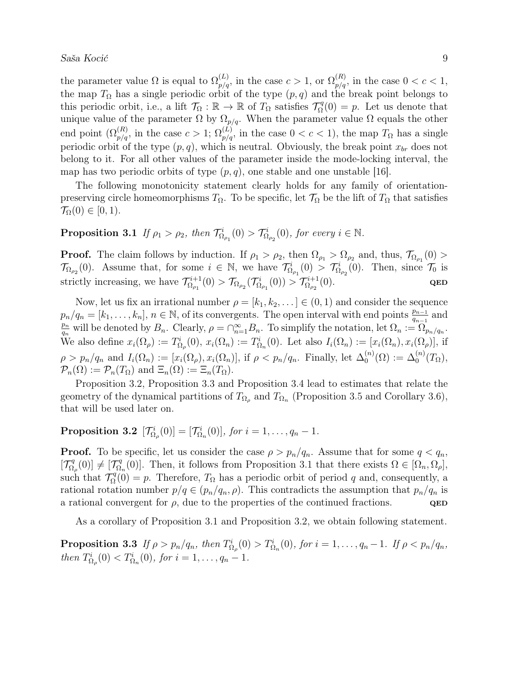the parameter value  $\Omega$  is equal to  $\Omega_{p/q}^{(L)}$ , in the case  $c > 1$ , or  $\Omega_{p/q}^{(R)}$ , in the case  $0 < c < 1$ , the map  $T_{\Omega}$  has a single periodic orbit of the type  $(p, q)$  and the break point belongs to this periodic orbit, i.e., a lift  $\mathcal{T}_{\Omega} : \mathbb{R} \to \mathbb{R}$  of  $T_{\Omega}$  satisfies  $\mathcal{T}_{\Omega}^q$  $Q_{\Omega}^{q}(0) = p$ . Let us denote that unique value of the parameter  $\Omega$  by  $\Omega_{p/q}$ . When the parameter value  $\Omega$  equals the other end point  $(\Omega_{p/q}^{(R)}$ , in the case  $c > 1$ ;  $\Omega_{p/q}^{(L)}$ , in the case  $0 < c < 1$ ), the map  $T_{\Omega}$  has a single periodic orbit of the type  $(p, q)$ , which is neutral. Obviously, the break point  $x_{br}$  does not belong to it. For all other values of the parameter inside the mode-locking interval, the map has two periodic orbits of type  $(p, q)$ , one stable and one unstable [16].

The following monotonicity statement clearly holds for any family of orientationpreserving circle homeomorphisms  $T_{\Omega}$ . To be specific, let  $\mathcal{T}_{\Omega}$  be the lift of  $T_{\Omega}$  that satisfies  $\mathcal{T}_{\Omega}(0) \in [0,1).$ 

# **Proposition 3.1** If  $\rho_1 > \rho_2$ , then  $\mathcal{T}_{\Omega_{\rho_1}}^i(0) > \mathcal{T}_{\Omega_{\rho_2}}^i(0)$ , for every  $i \in \mathbb{N}$ .

**Proof.** The claim follows by induction. If  $\rho_1 > \rho_2$ , then  $\Omega_{\rho_1} > \Omega_{\rho_2}$  and, thus,  $\mathcal{T}_{\Omega_{\rho_1}}(0) >$  $\mathcal{T}_{\Omega_{\rho_2}}(0)$ . Assume that, for some  $i \in \mathbb{N}$ , we have  $\mathcal{T}_{\Omega_{\rho_1}}^i(0) > \mathcal{T}_{\Omega_{\rho_2}}^i(0)$ . Then, since  $\mathcal{T}_0$  is strictly increasing, we have  $\mathcal{T}_{Q_{\alpha}}^{i+1}$  $\mathcal{T}^{i+1}_{\Omega_{\rho_1}}(0)>\mathcal{T}_{\Omega_{\rho_2}}(\mathcal{T}^{i}_{\Omega_{\rho_1}}(0))>\mathcal{T}^{i+1}_{\Omega_{\rho_2}}$  $\Omega_{\rho_2}^{n+1}(0).$  QED

Now, let us fix an irrational number  $\rho = [k_1, k_2, \dots] \in (0, 1)$  and consider the sequence  $p_n/q_n = [k_1, \ldots, k_n], n \in \mathbb{N}$ , of its convergents. The open interval with end points  $\frac{p_{n-1}}{q_{n-1}}$  and  $\mathbf{p}_n$  $\frac{p_n}{q_n}$  will be denoted by  $B_n$ . Clearly,  $\rho = \bigcap_{n=1}^{\infty} B_n$ . To simplify the notation, let  $\Omega_n := \Omega_{p_n/q_n}$ . We also define  $x_i(\Omega_\rho) := T^i_{\Omega_\rho}(0), x_i(\Omega_n) := T^i_{\Omega_n}(0)$ . Let also  $I_i(\Omega_n) := [x_i(\Omega_n), x_i(\Omega_\rho)],$  if  $\rho > p_n/q_n$  and  $I_i(\Omega_n) := [x_i(\Omega_\rho), x_i(\Omega_n)]$ , if  $\rho < p_n/q_n$ . Finally, let  $\Delta_0^{(n)}$  $\mathcal{L}_0^{(n)}(\Omega) := \Delta_0^{(n)}(T_{\Omega}),$  $\mathcal{P}_n(\Omega) := \mathcal{P}_n(T_{\Omega})$  and  $\Xi_n(\Omega) := \Xi_n(T_{\Omega}).$ 

Proposition 3.2, Proposition 3.3 and Proposition 3.4 lead to estimates that relate the geometry of the dynamical partitions of  $T_{\Omega_{\rho}}$  and  $T_{\Omega_n}$  (Proposition 3.5 and Corollary 3.6), that will be used later on.

**Proposition 3.2**  $[\mathcal{T}_{\Omega_\rho}^i(0)] = [\mathcal{T}_{\Omega_n}^i(0)],$  for  $i = 1, \ldots, q_n - 1$ .

**Proof.** To be specific, let us consider the case  $\rho > p_n/q_n$ . Assume that for some  $q < q_n$ ,  $[\mathcal{T}_Q^q]$  $\begin{bmatrix} \mathcal{I}_q^q(0) \end{bmatrix} \neq \begin{bmatrix} \mathcal{T}_\Omega^q \end{bmatrix}$  $\Gamma_{\Omega_n}^q(0)$ . Then, it follows from Proposition 3.1 that there exists  $\Omega \in [\Omega_n, \Omega_\rho],$ such that  $\mathcal{T}_\Omega^q$  $\Gamma_{\Omega}^{q}(0) = p$ . Therefore,  $T_{\Omega}$  has a periodic orbit of period q and, consequently, a rational rotation number  $p/q \in (p_n/q_n, \rho)$ . This contradicts the assumption that  $p_n/q_n$  is a rational convergent for  $\rho$ , due to the properties of the continued fractions.  $QED$ 

As a corollary of Proposition 3.1 and Proposition 3.2, we obtain following statement.

**Proposition 3.3** If  $\rho > p_n/q_n$ , then  $T_{\Omega_\rho}^i(0) > T_{\Omega_n}^i(0)$ , for  $i = 1, \ldots, q_n - 1$ . If  $\rho < p_n/q_n$ , then  $T_{\Omega_{\rho}}^{i}(0) < T_{\Omega_{n}}^{i}(0)$ , for  $i = 1, ..., q_{n} - 1$ .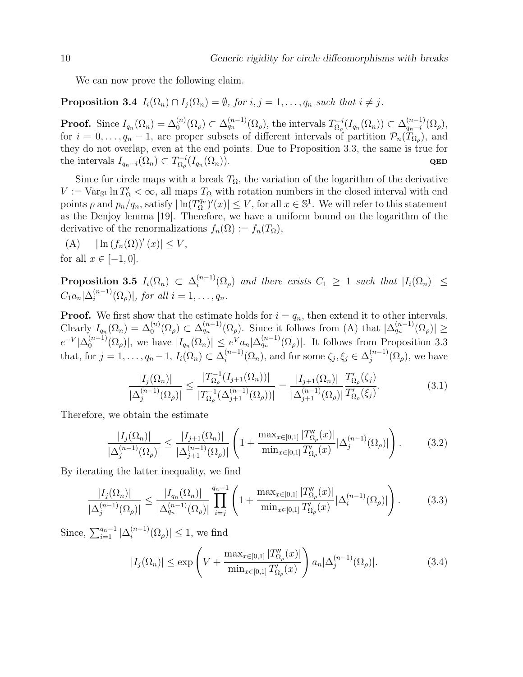We can now prove the following claim.

**Proposition 3.4**  $I_i(\Omega_n) \cap I_j(\Omega_n) = \emptyset$ , for  $i, j = 1, \ldots, q_n$  such that  $i \neq j$ .

**Proof.** Since  $I_{q_n}(\Omega_n) = \Delta_0^{(n)}(\Omega_\rho) \subset \Delta_{q_n}^{(n-1)}(\Omega_\rho)$ , the intervals  $T_{\Omega_\rho}^{-i}$  $\Omega_{\rho}^{-i}(I_{q_n}(\Omega_n)) \subset \Delta_{q_n-i}^{(n-1)}$  $\binom{(n-1)}{q_n-i}(\Omega_\rho),$ for  $i = 0, \ldots, q_n - 1$ , are proper subsets of different intervals of partition  $\mathcal{P}_n(T_{\Omega_\rho})$ , and they do not overlap, even at the end points. Due to Proposition 3.3, the same is true for the intervals  $I_{q_n-i}(\Omega_n) \subset T_{\Omega_n}^{-i}$  $\frac{1}{\Omega_\rho}(I_{q_n}(\Omega_n)).$  QED

Since for circle maps with a break  $T_{\Omega}$ , the variation of the logarithm of the derivative  $V := \text{Var}_{\mathbb{S}^1} \ln T'_{\Omega} < \infty$ , all maps  $T_{\Omega}$  with rotation numbers in the closed interval with end points  $\rho$  and  $p_n/q_n$ , satisfy  $|\ln(T_{\Omega}^{q_n})|$  $\left|\sum_{\Omega}^{q_n}\right|'(x)| \leq V$ , for all  $x \in \mathbb{S}^1$ . We will refer to this statement as the Denjoy lemma [19]. Therefore, we have a uniform bound on the logarithm of the derivative of the renormalizations  $f_n(\Omega) := f_n(T_{\Omega}),$ 

(A)  $|\ln (f_n(\Omega))'(x)| \leq V,$ for all  $x \in [-1, 0]$ .

 $\text{Proposition 3.5} \ \ I_i(\Omega_n) \ \subset \ \Delta^{(n-1)}_i$  $\sum_{i=1}^{(n-1)}(\Omega_{\rho})$  and there exists  $C_1 \geq 1$  such that  $|I_i(\Omega_n)| \leq$  $C_1 a_n | \Delta_i^{(n-1)}$  $\lim_{i}$   $\langle \Omega_{\rho} \rangle$ , for all  $i = 1, \ldots, q_n$ .

**Proof.** We first show that the estimate holds for  $i = q_n$ , then extend it to other intervals. Clearly  $I_{q_n}(\Omega_n) = \Delta_0^{(n)}(\Omega_\rho) \subset \Delta_{q_n}^{(n-1)}(\Omega_\rho)$ . Since it follows from (A) that  $|\Delta_{q_n}^{(n-1)}(\Omega_\rho)| \ge$  $e^{-V}|\Delta_0^{(n-1)}|$  $\binom{(n-1)}{0}(\Omega_{\rho})$ , we have  $|I_{q_n}(\Omega_n)| \leq e^V a_n |\Delta_{q_n}^{(n-1)}(\Omega_{\rho})|$ . It follows from Proposition 3.3 that, for  $j = 1, \ldots, q_n - 1, I_i(\Omega_n) \subset \Delta_i^{(n-1)}$  $\zeta_i^{(n-1)}(\Omega_n)$ , and for some  $\zeta_j, \xi_j \in \Delta_j^{(n-1)}$  $j^{(n-1)}(\Omega_\rho)$ , we have

$$
\frac{|I_j(\Omega_n)|}{|\Delta_j^{(n-1)}(\Omega_\rho)|} \le \frac{|T_{\Omega_\rho}^{-1}(I_{j+1}(\Omega_n))|}{|T_{\Omega_\rho}^{-1}(\Delta_{j+1}^{(n-1)}(\Omega_\rho))|} = \frac{|I_{j+1}(\Omega_n)|}{|\Delta_{j+1}^{(n-1)}(\Omega_\rho)|} \frac{T'_{\Omega_\rho}(\zeta_j)}{T'_{\Omega_\rho}(\zeta_j)}.
$$
(3.1)

Therefore, we obtain the estimate

$$
\frac{|I_j(\Omega_n)|}{|\Delta_j^{(n-1)}(\Omega_\rho)|} \le \frac{|I_{j+1}(\Omega_n)|}{|\Delta_{j+1}^{(n-1)}(\Omega_\rho)|} \left(1 + \frac{\max_{x \in [0,1]} |T''_{\Omega_\rho}(x)|}{\min_{x \in [0,1]} T'_{\Omega_\rho}(x)} |\Delta_j^{(n-1)}(\Omega_\rho)|\right). \tag{3.2}
$$

By iterating the latter inequality, we find

$$
\frac{|I_j(\Omega_n)|}{|\Delta_j^{(n-1)}(\Omega_\rho)|} \le \frac{|I_{q_n}(\Omega_n)|}{|\Delta_{q_n}^{(n-1)}(\Omega_\rho)|} \prod_{i=j}^{q_n-1} \left(1 + \frac{\max_{x \in [0,1]} |T_{\Omega_\rho}''(x)|}{\min_{x \in [0,1]} T_{\Omega_\rho}'(x)} |\Delta_i^{(n-1)}(\Omega_\rho)|\right). \tag{3.3}
$$

Since,  $\sum_{i=1}^{q_n-1} |\Delta_i^{(n-1)}|$  $\binom{(n-1)}{i}$   $(\Omega_{\rho})$   $\leq 1$ , we find

$$
|I_j(\Omega_n)| \le \exp\left(V + \frac{\max_{x \in [0,1]} |T''_{\Omega_\rho}(x)|}{\min_{x \in [0,1]} T'_{\Omega_\rho}(x)}\right) a_n |\Delta_j^{(n-1)}(\Omega_\rho)|. \tag{3.4}
$$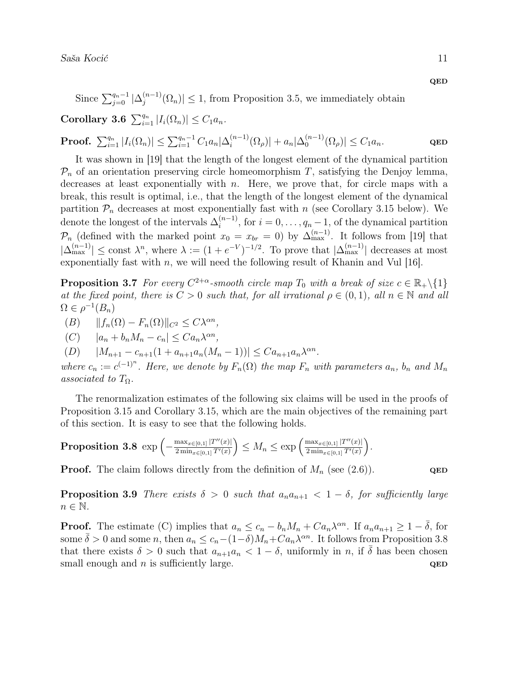QED

Since  $\sum_{j=0}^{q_n-1} |\Delta_j^{(n-1)}|$  $\left| \mathcal{L}_{j}^{(n-1)}(\Omega_n) \right| \leq 1$ , from Proposition 3.5, we immediately obtain

Corollary 3.6  $\sum_{i=1}^{q_n} |I_i(\Omega_n)| \leq C_1 a_n$ .

**Proof.**  $\sum_{i=1}^{q_n} |I_i(\Omega_n)| \leq \sum_{i=1}^{q_n-1} C_1 a_n |\Delta_i^{(n-1)}|$  $\binom{(n-1)}{i} (\Omega_{\rho}) + a_n |\Delta_0^{(n-1)}|$  $\left| \Omega_{0}^{(n-1)}(\Omega_{\rho}) \right| \leq C_1 a_n.$  QED

It was shown in [19] that the length of the longest element of the dynamical partition  $\mathcal{P}_n$  of an orientation preserving circle homeomorphism T, satisfying the Denjoy lemma, decreases at least exponentially with  $n$ . Here, we prove that, for circle maps with a break, this result is optimal, i.e., that the length of the longest element of the dynamical partition  $\mathcal{P}_n$  decreases at most exponentially fast with n (see Corollary 3.15 below). We denote the longest of the intervals  $\Delta_i^{(n-1)}$  $i^{(n-1)}$ , for  $i = 0, \ldots, q_n - 1$ , of the dynamical partition  $\mathcal{P}_n$  (defined with the marked point  $x_0 = x_{br} = 0$ ) by  $\Delta_{\text{max}}^{(n-1)}$ . It follows from [19] that  $|\Delta_{\max}^{(n-1)}| \leq \text{const } \lambda^n$ , where  $\lambda := (1 + e^{-V})^{-1/2}$ . To prove that  $|\Delta_{\max}^{(n-1)}|$  decreases at most exponentially fast with  $n$ , we will need the following result of Khanin and Vul  $[16]$ .

**Proposition 3.7** For every  $C^{2+\alpha}$ -smooth circle map  $T_0$  with a break of size  $c \in \mathbb{R}_+ \setminus \{1\}$ at the fixed point, there is  $C > 0$  such that, for all irrational  $\rho \in (0,1)$ , all  $n \in \mathbb{N}$  and all  $\Omega \in \rho^{-1}(B_n)$ 

 $(B)$   $||f_n(\Omega) - F_n(\Omega)||_{C^2} \leq C\lambda^{\alpha n}$ ,

 $(C)$   $|a_n + b_n M_n - c_n| \leq C a_n \lambda^{\alpha n},$ 

(D)  $|M_{n+1} - c_{n+1}(1 + a_{n+1}a_n(M_n - 1))| \leq C a_{n+1}a_n \lambda^{\alpha n}$ .

where  $c_n := c^{(-1)^n}$ . Here, we denote by  $F_n(\Omega)$  the map  $F_n$  with parameters  $a_n$ ,  $b_n$  and  $M_n$ associated to  $T_{\Omega}$ .

The renormalization estimates of the following six claims will be used in the proofs of Proposition 3.15 and Corollary 3.15, which are the main objectives of the remaining part of this section. It is easy to see that the following holds.

**Proposition 3.8** exp 
$$
\left(-\frac{\max_{x \in [0,1]} |T''(x)|}{2 \min_{x \in [0,1]} T'(x)}\right) \le M_n \le \exp\left(\frac{\max_{x \in [0,1]} |T''(x)|}{2 \min_{x \in [0,1]} T'(x)}\right)
$$

**Proof.** The claim follows directly from the definition of  $M_n$  (see (2.6)).

.

**Proposition 3.9** There exists  $\delta > 0$  such that  $a_n a_{n+1} < 1 - \delta$ , for sufficiently large  $n \in \mathbb{N}$ .

**Proof.** The estimate (C) implies that  $a_n \leq c_n - b_n M_n + C a_n \lambda^{\alpha n}$ . If  $a_n a_{n+1} \geq 1 - \overline{\delta}$ , for some  $\bar{\delta} > 0$  and some n, then  $a_n \leq c_n - (1-\delta)M_n + Ca_n\lambda^{\alpha n}$ . It follows from Proposition 3.8 that there exists  $\delta > 0$  such that  $a_{n+1}a_n < 1 - \delta$ , uniformly in n, if  $\delta$  has been chosen small enough and n is sufficiently large.  $QED$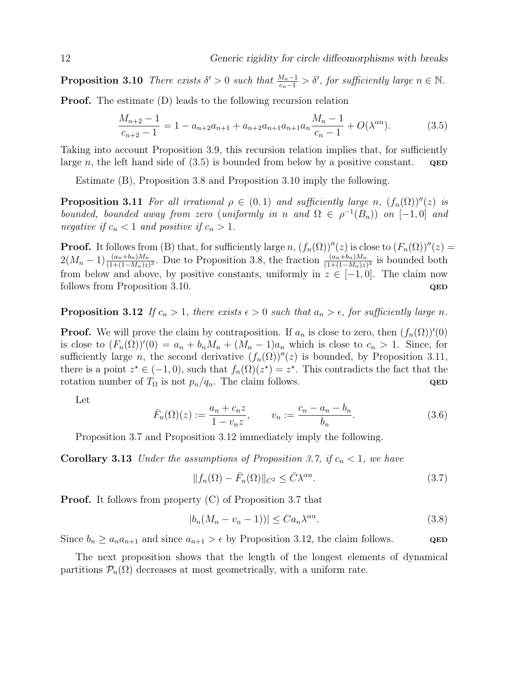**Proposition 3.10** There exists  $\delta' > 0$  such that  $\frac{M_n - 1}{c_n - 1} > \delta'$ , for sufficiently large  $n \in \mathbb{N}$ .

Proof. The estimate (D) leads to the following recursion relation

$$
\frac{M_{n+2}-1}{c_{n+2}-1} = 1 - a_{n+2}a_{n+1} + a_{n+2}a_{n+1}a_{n+1}a_n \frac{M_n - 1}{c_n - 1} + O(\lambda^{an}).
$$
\n(3.5)

Taking into account Proposition 3.9, this recursion relation implies that, for sufficiently large n, the left hand side of  $(3.5)$  is bounded from below by a positive constant. QED

Estimate (B), Proposition 3.8 and Proposition 3.10 imply the following.

**Proposition 3.11** For all irrational  $\rho \in (0,1)$  and sufficiently large n,  $(f_n(\Omega))^{\prime\prime}(z)$  is bounded, bounded away from zero (uniformly in n and  $\Omega \in \rho^{-1}(B_n)$ ) on  $[-1,0]$  and negative if  $c_n < 1$  and positive if  $c_n > 1$ .

**Proof.** It follows from (B) that, for sufficiently large n,  $(f_n(\Omega))^{\prime\prime}(z)$  is close to  $(F_n(\Omega))^{\prime\prime}(z)$  =  $2(M_n-1)\frac{(a_n+b_n)M_n}{(1+(1-M_n)z)^3}$ . Due to Proposition 3.8, the fraction  $\frac{(a_n+b_n)M_n}{(1+(1-M_n)z)^3}$  is bounded both from below and above, by positive constants, uniformly in  $z \in [-1,0]$ . The claim now follows from Proposition 3.10.  $QED$ 

**Proposition 3.12** If  $c_n > 1$ , there exists  $\epsilon > 0$  such that  $a_n > \epsilon$ , for sufficiently large n.

**Proof.** We will prove the claim by contraposition. If  $a_n$  is close to zero, then  $(f_n(\Omega))'(0)$ is close to  $(F_n(\Omega))'(0) = a_n + b_n M_n + (M_n - 1)a_n$  which is close to  $c_n > 1$ . Since, for sufficiently large n, the second derivative  $(f_n(\Omega))''(z)$  is bounded, by Proposition 3.11, there is a point  $z^* \in (-1,0)$ , such that  $f_n(\Omega)(z^*) = z^*$ . This contradicts the fact that the rotation number of  $T_{\Omega}$  is not  $p_n/q_n$ . The claim follows. QED

Let

$$
\bar{F}_n(\Omega)(z) := \frac{a_n + c_n z}{1 - v_n z}, \qquad v_n := \frac{c_n - a_n - b_n}{b_n}.
$$
\n(3.6)

Proposition 3.7 and Proposition 3.12 immediately imply the following.

**Corollary 3.13** Under the assumptions of Proposition 3.7, if  $c_n < 1$ , we have

$$
||f_n(\Omega) - \bar{F}_n(\Omega)||_{C^2} \le \bar{C}\lambda^{\alpha n}.
$$
\n(3.7)

**Proof.** It follows from property (C) of Proposition 3.7 that

$$
|b_n(M_n - v_n - 1))| \leq C a_n \lambda^{\alpha n}.
$$
\n(3.8)

Since  $b_n \ge a_n a_{n+1}$  and since  $a_{n+1} > \epsilon$  by Proposition 3.12, the claim follows. QED

The next proposition shows that the length of the longest elements of dynamical partitions  $\mathcal{P}_n(\Omega)$  decreases at most geometrically, with a uniform rate.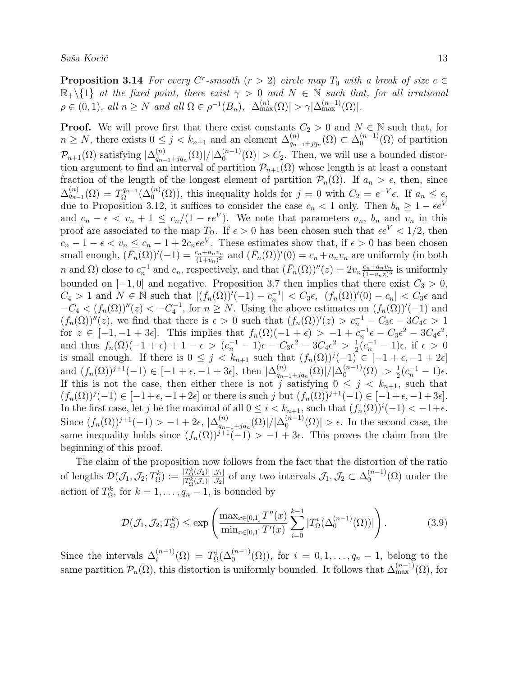**Proposition 3.14** For every C<sup>r</sup>-smooth  $(r > 2)$  circle map  $T_0$  with a break of size  $c \in$  $\mathbb{R}_+\setminus\{1\}$  at the fixed point, there exist  $\gamma > 0$  and  $N \in \mathbb{N}$  such that, for all irrational  $\rho \in (0,1)$ , all  $n \ge N$  and all  $\Omega \in \rho^{-1}(B_n)$ ,  $|\Delta_{\max}^{(n)}(\Omega)| > \gamma |\Delta_{\max}^{(n-1)}(\Omega)|$ .

**Proof.** We will prove first that there exist constants  $C_2 > 0$  and  $N \in \mathbb{N}$  such that, for  $n \geq N$ , there exists  $0 \leq j < k_{n+1}$  and an element  $\Delta_{q_n}^{(n)}$  $_{q_{n-1}+jq_n}^{(n)}(\Omega) \subset \Delta_0^{(n-1)}$  $\binom{n-1}{0}$  of partition  $\mathcal{P}_{n+1}(\Omega)$  satisfying  $|\Delta_{q_{n-1}}^{(n)}|$  $_{q_{n-1}+jq_n}^{(n)}(\Omega )|/|\Delta _0^{(n-1)}|$  $\binom{n-1}{0}$   $\geq C_2$ . Then, we will use a bounded distortion argument to find an interval of partition  $\mathcal{P}_{n+1}(\Omega)$  whose length is at least a constant fraction of the length of the longest element of partition  $\mathcal{P}_n(\Omega)$ . If  $a_n > \epsilon$ , then, since  $\Delta_{q_{n-1}}^{(n)}(\Omega) = T_{\Omega}^{q_{n-1}}$  $Q_{\Omega}^{q_{n-1}}(\Delta_0^{(n)}(\Omega))$ , this inequality holds for  $j=0$  with  $C_2=e^{-V}\epsilon$ . If  $a_n \leq \epsilon$ , due to Proposition 3.12, it suffices to consider the case  $c_n < 1$  only. Then  $b_n \geq 1 - \epsilon e^V$ and  $c_n - \epsilon < v_n + 1 \leq c_n/(1 - \epsilon e^V)$ . We note that parameters  $a_n$ ,  $b_n$  and  $v_n$  in this proof are associated to the map  $T_{\Omega}$ . If  $\epsilon > 0$  has been chosen such that  $\epsilon e^{V} < 1/2$ , then  $c_n - 1 - \epsilon < v_n \leq c_n - 1 + 2c_n \epsilon e^V$ . These estimates show that, if  $\epsilon > 0$  has been chosen small enough,  $(\bar{F}_n(\Omega))'(-1) = \frac{c_n + a_n v_n}{(1+v_n)^2}$  and  $(\bar{F}_n(\Omega))'(0) = c_n + a_n v_n$  are uniformly (in both n and  $\Omega$ ) close to  $c_n^{-1}$  and  $c_n$ , respectively, and that  $(\bar{F}_n(\Omega))^{\prime\prime}(z) = 2v_n \frac{c_n+a_n v_n}{(1-v_n z)^3}$  $\frac{c_n+a_nv_n}{(1-v_nz)^3}$  is uniformly bounded on  $[-1, 0]$  and negative. Proposition 3.7 then implies that there exist  $C_3 > 0$ ,  $C_4 > 1$  and  $N \in \mathbb{N}$  such that  $|(f_n(\Omega))'(-1) - c_n^{-1}| < C_3 \epsilon, |(f_n(\Omega))'(0) - c_n| < C_3 \epsilon$  and  $-C_4 < (f_n(\Omega))^{\prime\prime}(z) < -C_4^{-1}$ , for  $n \ge N$ . Using the above estimates on  $(f_n(\Omega))^{\prime}(-1)$  and  $(f_n(\Omega))^{\prime\prime}(z)$ , we find that there is  $\epsilon > 0$  such that  $(f_n(\Omega))^{\prime}(z) > c_n^{-1} - C_3 \epsilon - 3C_4 \epsilon > 1$ for  $z \in [-1, -1 + 3\epsilon]$ . This implies that  $f_n(\Omega)(-1 + \epsilon) > -1 + c_n^{-1}\epsilon - C_3\epsilon^2 - 3C_4\epsilon^2$ , and thus  $f_n(\Omega)(-1 + \epsilon) + 1 - \epsilon > (c_n^{-1} - 1)\epsilon - C_3 \epsilon^2 - 3C_4 \epsilon^2 > \frac{1}{2}$  $\frac{1}{2}(c_n^{-1} - 1)\epsilon$ , if  $\epsilon > 0$ is small enough. If there is  $0 \leq j \leq k_{n+1}$  such that  $(f_n(\Omega))^j(-1) \in [-1 + \epsilon, -1 + 2\epsilon]$ and  $(f_n(\Omega))^{j+1}(-1) \in [-1 + \epsilon, -1 + 3\epsilon],$  then  $|\Delta_{g_n}^{(n)}|$  $_{q_{n-1}+jq_n}^{(n)}(\Omega )|/|\Delta _0^{(n-1)}|$  $_0^{(n-1)}(\Omega)\vert > \frac{1}{2}$  $\frac{1}{2}(c_n^{-1} - 1)\epsilon.$ If this is not the case, then either there is not j satisfying  $0 \leq j \leq k_{n+1}$ , such that  $(f_n(\Omega))^j(-1) \in [-1+\epsilon, -1+2\epsilon]$  or there is such j but  $(f_n(\Omega))^{j+1}(-1) \in [-1+\epsilon, -1+3\epsilon]$ . In the first case, let j be the maximal of all  $0 \leq i < k_{n+1}$ , such that  $(f_n(\Omega))^i(-1) < -1+\epsilon$ . Since  $(f_n(\Omega))^{j+1}(-1) > -1 + 2\epsilon, |\Delta_{q_n}^{(n)}|$  $_{q_{n-1}+jq_n}^{(n)}(\Omega )|/|\Delta _0^{(n-1)}|$  $\binom{(n-1)}{0} > \epsilon$ . In the second case, the same inequality holds since  $(f_n(\Omega))^{j+1}(-1) > -1+3\epsilon$ . This proves the claim from the beginning of this proof.

The claim of the proposition now follows from the fact that the distortion of the ratio of lengths  $\mathcal{D}(\mathcal{J}_1, \mathcal{J}_2; T_\Omega^k) := \frac{|T_\Omega^k(\mathcal{J}_2)|}{|T_\Omega^k(\mathcal{J}_1)|}$  $\overline{|T_{\Omega}^{k}(\mathcal{J}_1)|}$  $|\mathcal{J}_1|$  $\frac{|\mathcal{J}_1|}{|\mathcal{J}_2|}$  of any two intervals  $\mathcal{J}_1, \mathcal{J}_2 \subset \Delta_0^{(n-1)}$  $\binom{n-1}{0}$  and  $\binom{n}{0}$  under the action of  $T_{\Omega}^k$ , for  $k = 1, \ldots, q_n - 1$ , is bounded by

$$
\mathcal{D}(\mathcal{J}_1, \mathcal{J}_2; T_\Omega^k) \le \exp\left(\frac{\max_{x \in [0,1]} T''(x)}{\min_{x \in [0,1]} T'(x)} \sum_{i=0}^{k-1} |T_\Omega^i(\Delta_0^{(n-1)}(\Omega))|\right).
$$
(3.9)

Since the intervals  $\Delta_i^{(n-1)}$  $i^{(n-1)}(0) = T_0^i(\Delta_0^{(n-1)}(0)),$  for  $i = 0, 1, ..., q_n - 1$ , belong to the same partition  $\mathcal{P}_n(\Omega)$ , this distortion is uniformly bounded. It follows that  $\Delta_{\max}^{(n-1)}(\Omega)$ , for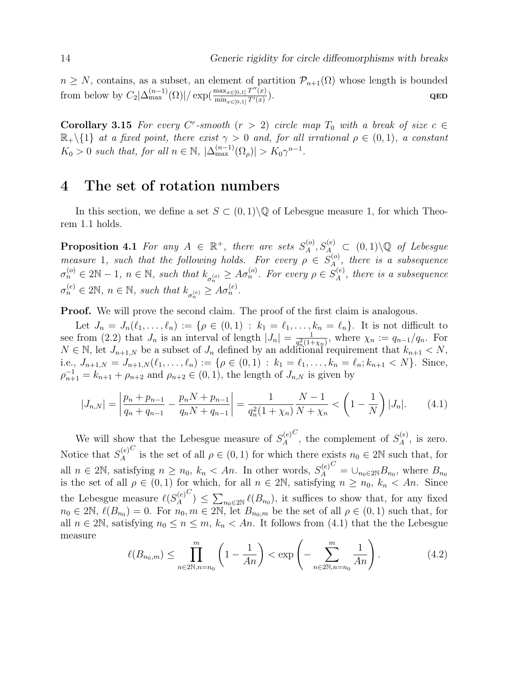$n \geq N$ , contains, as a subset, an element of partition  $\mathcal{P}_{n+1}(\Omega)$  whose length is bounded from below by  $C_2|\Delta_{\max}^{(n-1)}(\Omega)|/\exp(\frac{\max_{x\in[0,1]}T''(x)}{\min_{x\in[0,1]}T'(x)})$  $\min_{x \in [0,1]} T'(x)$  $\qquad \qquad \textbf{QED}$ 

Corollary 3.15 For every C<sup>r</sup>-smooth  $(r > 2)$  circle map  $T_0$  with a break of size  $c \in$  $\mathbb{R}_+\setminus\{1\}$  at a fixed point, there exist  $\gamma > 0$  and, for all irrational  $\rho \in (0,1)$ , a constant  $K_0 > 0$  such that, for all  $n \in \mathbb{N}$ ,  $|\Delta_{\max}^{(n-1)}(\Omega_\rho)| > K_0 \gamma^{n-1}$ .

## 4 The set of rotation numbers

In this section, we define a set  $S \subset (0,1) \backslash \mathbb{Q}$  of Lebesgue measure 1, for which Theorem 1.1 holds.

**Proposition 4.1** For any  $A \in \mathbb{R}^+$ , there are sets  $S_A^{(o)}$  $\mathcal{A}^{(o)}, S_A^{(e)} \subset (0,1) \backslash \mathbb{Q}$  of Lebesgue measure 1, such that the following holds. For every  $\rho \in S_A^{(o)}$  $\mathcal{A}_{A}^{(0)}$ , there is a subsequence  $\sigma_n^{(o)} \in 2\mathbb{N} - 1$ ,  $n \in \mathbb{N}$ , such that  $k_{\sigma_n^{(o)}} \geq A \sigma_n^{(o)}$ . For every  $\rho \in S_A^{(e)}$  $A^{(e)}$ , there is a subsequence  $\sigma_n^{(e)} \in 2\mathbb{N}, n \in \mathbb{N}, \text{ such that } k_{\sigma_n^{(e)}} \geq A \sigma_n^{(e)}.$ 

**Proof.** We will prove the second claim. The proof of the first claim is analogous.

Let  $J_n = J_n(\ell_1, \ldots, \ell_n) := \{ \rho \in (0,1) : k_1 = \ell_1, \ldots, k_n = \ell_n \}.$  It is not difficult to see from (2.2) that  $J_n$  is an interval of length  $|J_n| = \frac{1}{a^2(1+a)}$  $\frac{1}{q_n^2(1+\chi_n)},$  where  $\chi_n := q_{n-1}/q_n$ . For  $N \in \mathbb{N}$ , let  $J_{n+1,N}$  be a subset of  $J_n$  defined by an additional requirement that  $k_{n+1} < N$ , i.e.,  $J_{n+1,N} = J_{n+1,N}(\ell_1, \ldots, \ell_n) := \{ \rho \in (0,1) : k_1 = \ell_1, \ldots, k_n = \ell_n; k_{n+1} < N \}.$  Since,  $\rho_{n+1}^{-1} = k_{n+1} + \rho_{n+2}$  and  $\rho_{n+2} \in (0,1)$ , the length of  $J_{n,N}$  is given by

$$
|J_{n,N}| = \left| \frac{p_n + p_{n-1}}{q_n + q_{n-1}} - \frac{p_n N + p_{n-1}}{q_n N + q_{n-1}} \right| = \frac{1}{q_n^2 (1 + \chi_n)} \frac{N - 1}{N + \chi_n} < \left( 1 - \frac{1}{N} \right) |J_n|. \tag{4.1}
$$

We will show that the Lebesgue measure of  $S_A^{(e)}$ A  $\mathcal{C}_1$ , the complement of  $S_A^{(e)}$  $\mathcal{A}^{(e)}$ , is zero. Notice that  $S_A^{(e)}$ A C is the set of all  $\rho \in (0,1)$  for which there exists  $n_0 \in 2\mathbb{N}$  such that, for all  $n \in 2\mathbb{N}$ , satisfying  $n \geq n_0$ ,  $k_n < An$ . In other words,  $S_A^{(e)}$ A  $C = \bigcup_{n_0 \in 2\mathbb{N}} B_{n_0}$ , where  $B_{n_0}$ is the set of all  $\rho \in (0,1)$  for which, for all  $n \in 2\mathbb{N}$ , satisfying  $n \geq n_0$ ,  $k_n < An$ . Since the Lebesgue measure  $\ell(S_A^{(e)})$ A  $\mathcal{C}$ )  $\leq \sum_{n_0\in 2\mathbb{N}} \ell(B_{n_0}),$  it suffices to show that, for any fixed  $n_0 \in 2\mathbb{N}, \ell(B_{n_0}) = 0.$  For  $n_0, m \in 2\mathbb{N},$  let  $B_{n_0,m}$  be the set of all  $\rho \in (0,1)$  such that, for all  $n \in 2\mathbb{N}$ , satisfying  $n_0 \leq n \leq m$ ,  $k_n < An$ . It follows from (4.1) that the the Lebesgue measure

$$
\ell(B_{n_0,m}) \le \prod_{n \in 2\mathbb{N}, n = n_0}^{m} \left(1 - \frac{1}{An}\right) < \exp\left(-\sum_{n \in 2\mathbb{N}, n = n_0}^{m} \frac{1}{An}\right). \tag{4.2}
$$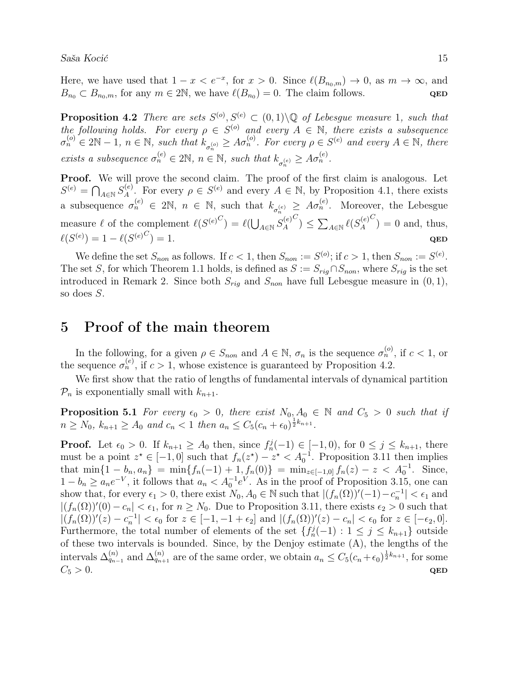Here, we have used that  $1 - x < e^{-x}$ , for  $x > 0$ . Since  $\ell(B_{n_0,m}) \to 0$ , as  $m \to \infty$ , and  $B_{n_0} \subset B_{n_0,m}$ , for any  $m \in 2\mathbb{N}$ , we have  $\ell(B_{n_0}) = 0$ . The claim follows. QED

**Proposition 4.2** There are sets  $S^{(o)}, S^{(e)} \subset (0,1) \setminus \mathbb{Q}$  of Lebesgue measure 1, such that the following holds. For every  $\rho \in S^{(o)}$  and every  $A \in \mathbb{N}$ , there exists a subsequence  $\sigma_n^{(o)} \in 2\mathbb{N} - 1$ ,  $n \in \mathbb{N}$ , such that  $k_{\sigma_n^{(o)}} \geq A\sigma_n^{(o)}$ . For every  $\rho \in S^{(e)}$  and every  $A \in \mathbb{N}$ , there exists a subsequence  $\sigma_n^{(e)} \in 2\mathbb{N}$ ,  $n \in \mathbb{N}$ , such that  $k_{\sigma_n^{(e)}} \geq A \sigma_n^{(e)}$ .

Proof. We will prove the second claim. The proof of the first claim is analogous. Let  $S^{(e)} = \bigcap_{A \in \mathbb{N}} S_A^{(e)}$  $A^{(e)}$ . For every  $\rho \in S^{(e)}$  and every  $A \in \mathbb{N}$ , by Proposition 4.1, there exists a subsequence  $\sigma_n^{(e)} \in 2\mathbb{N}$ ,  $n \in \mathbb{N}$ , such that  $k_{\sigma_n^{(e)}} \geq A \sigma_n^{(e)}$ . Moreover, the Lebesgue measure  $\ell$  of the complement  $\ell(S^{(e)}^C) = \ell(\bigcup_{A \in \mathbb{N}} S_A^{(e)})$ A  $\binom{C}{\ } \leq \sum_{A \in \mathbb{N}} \ell(S_A^{(e)})$ A  $\binom{C}{ } = 0$  and, thus,  $\ell(S^{(e)}) = 1 - \ell(S^{(e)}^C)$  $) = 1.$  QED

We define the set  $S_{non}$  as follows. If  $c < 1$ , then  $S_{non} := S^{(o)}$ ; if  $c > 1$ , then  $S_{non} := S^{(e)}$ . The set S, for which Theorem 1.1 holds, is defined as  $S := S_{riq} \cap S_{non}$ , where  $S_{riq}$  is the set introduced in Remark 2. Since both  $S_{riq}$  and  $S_{non}$  have full Lebesgue measure in  $(0, 1)$ , so does S.

# 5 Proof of the main theorem

In the following, for a given  $\rho \in S_{non}$  and  $A \in \mathbb{N}$ ,  $\sigma_n$  is the sequence  $\sigma_n^{(o)}$ , if  $c < 1$ , or the sequence  $\sigma_n^{(e)}$ , if  $c > 1$ , whose existence is guaranteed by Proposition 4.2.

We first show that the ratio of lengths of fundamental intervals of dynamical partition  $\mathcal{P}_n$  is exponentially small with  $k_{n+1}$ .

**Proposition 5.1** For every  $\epsilon_0 > 0$ , there exist  $N_0, A_0 \in \mathbb{N}$  and  $C_5 > 0$  such that if  $n \ge N_0$ ,  $k_{n+1} \ge A_0$  and  $c_n < 1$  then  $a_n \le C_5(c_n + \epsilon_0)^{\frac{1}{2}k_{n+1}}$ .

**Proof.** Let  $\epsilon_0 > 0$ . If  $k_{n+1} \geq A_0$  then, since  $f_n^j(-1) \in [-1,0)$ , for  $0 \leq j \leq k_{n+1}$ , there must be a point  $z^* \in [-1,0]$  such that  $f_n(z^*) - z^* < A_0^{-1}$ . Proposition 3.11 then implies that  $\min\{1 - b_n, a_n\} = \min\{f_n(-1) + 1, f_n(0)\} = \min_{z \in [-1,0]} f_n(z) - z < A_0^{-1}$ . Since,  $1 - b_n \ge a_n e^{-V}$ , it follows that  $a_n < A_0^{-1} e^V$ . As in the proof of Proposition 3.15, one can show that, for every  $\epsilon_1 > 0$ , there exist  $N_0, A_0 \in \mathbb{N}$  such that  $|(f_n(\Omega))'(-1) - c_n^{-1}| < \epsilon_1$  and  $|(f_n(\Omega))'(0) - c_n| < \epsilon_1$ , for  $n \geq N_0$ . Due to Proposition 3.11, there exists  $\epsilon_2 > 0$  such that  $|(f_n(\Omega))'(z) - c_n^{-1}| < \epsilon_0$  for  $z \in [-1, -1 + \epsilon_2]$  and  $|(f_n(\Omega))'(z) - c_n| < \epsilon_0$  for  $z \in [-\epsilon_2, 0]$ . Furthermore, the total number of elements of the set  $\{f_n^j(-1): 1 \leq j \leq k_{n+1}\}\$  outside of these two intervals is bounded. Since, by the Denjoy estimate (A), the lengths of the intervals  $\Delta_{q_{n-1}}^{(n)}$  and  $\Delta_{q_{n+1}}^{(n)}$  are of the same order, we obtain  $a_n \leq C_5(c_n + \epsilon_0)^{\frac{1}{2}k_{n+1}}$ , for some  $C_5 > 0$ . QED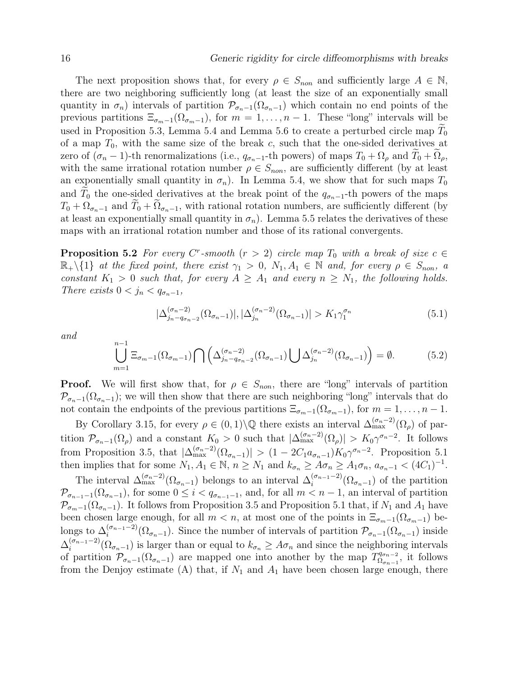The next proposition shows that, for every  $\rho \in S_{non}$  and sufficiently large  $A \in \mathbb{N}$ , there are two neighboring sufficiently long (at least the size of an exponentially small quantity in  $\sigma_n$ ) intervals of partition  $\mathcal{P}_{\sigma_n-1}(\Omega_{\sigma_n-1})$  which contain no end points of the previous partitions  $\Xi_{\sigma_{m-1}}(\Omega_{\sigma_{m-1}})$ , for  $m=1,\ldots,n-1$ . These "long" intervals will be used in Proposition 5.3, Lemma 5.4 and Lemma 5.6 to create a perturbed circle map  $T_0$ of a map  $T_0$ , with the same size of the break c, such that the one-sided derivatives at zero of  $(\sigma_n - 1)$ -th renormalizations (i.e.,  $q_{\sigma_n-1}$ -th powers) of maps  $T_0 + \Omega_\rho$  and  $T_0 + \Omega_\rho$ , with the same irrational rotation number  $\rho \in S_{non}$ , are sufficiently different (by at least an exponentially small quantity in  $\sigma_n$ ). In Lemma 5.4, we show that for such maps  $T_0$ and  $T_0$  the one-sided derivatives at the break point of the  $q_{\sigma_n-1}$ -th powers of the maps  $T_0 + \Omega_{\sigma_n-1}$  and  $T_0 + \Omega_{\sigma_n-1}$ , with rational rotation numbers, are sufficiently different (by at least an exponentially small quantity in  $\sigma_n$ ). Lemma 5.5 relates the derivatives of these maps with an irrational rotation number and those of its rational convergents.

**Proposition 5.2** For every C<sup>r</sup>-smooth  $(r > 2)$  circle map  $T_0$  with a break of size  $c \in$  $\mathbb{R}_+\setminus\{1\}$  at the fixed point, there exist  $\gamma_1 > 0$ ,  $N_1, A_1 \in \mathbb{N}$  and, for every  $\rho \in S_{non}$ , a constant  $K_1 > 0$  such that, for every  $A \geq A_1$  and every  $n \geq N_1$ , the following holds. There exists  $0 < j_n < q_{\sigma_n-1}$ ,

$$
|\Delta_{j_n-q_{\sigma_n-2}}^{(\sigma_n-2)}(\Omega_{\sigma_n-1})|,|\Delta_{j_n}^{(\sigma_n-2)}(\Omega_{\sigma_n-1})|>K_1\gamma_1^{\sigma_n}
$$
\n(5.1)

and

$$
\bigcup_{m=1}^{n-1} \Xi_{\sigma_m-1}(\Omega_{\sigma_m-1}) \bigcap \left( \Delta_{j_n - q_{\sigma_n-2}}^{(\sigma_n - 2)}(\Omega_{\sigma_n - 1}) \bigcup \Delta_{j_n}^{(\sigma_n - 2)}(\Omega_{\sigma_n - 1}) \right) = \emptyset.
$$
\n(5.2)

**Proof.** We will first show that, for  $\rho \in S_{non}$ , there are "long" intervals of partition  $\mathcal{P}_{\sigma_n-1}(\Omega_{\sigma_n-1})$ ; we will then show that there are such neighboring "long" intervals that do not contain the endpoints of the previous partitions  $\Xi_{\sigma_{m-1}}(\Omega_{\sigma_{m-1}})$ , for  $m=1,\ldots,n-1$ .

By Corollary 3.15, for every  $\rho \in (0,1) \setminus \mathbb{Q}$  there exists an interval  $\Delta_{\max}^{(\sigma_n-2)}(\Omega_\rho)$  of partition  $\mathcal{P}_{\sigma_n-1}(\Omega_\rho)$  and a constant  $K_0 > 0$  such that  $|\Delta_{\max}^{(\sigma_n-2)}(\Omega_\rho)| > K_0 \gamma^{\sigma_n-2}$ . It follows from Proposition 3.5, that  $|\Delta_{\max}^{(\sigma_n-2)}(\Omega_{\sigma_n-1})| > (1-2C_1a_{\sigma_n-1})K_0\gamma^{\sigma_n-2}$ . Proposition 5.1 then implies that for some  $N_1, A_1 \in \mathbb{N}$ ,  $n \ge N_1$  and  $k_{\sigma_n} \ge A \sigma_n \ge A_1 \sigma_n$ ,  $a_{\sigma_n-1} < (4C_1)^{-1}$ .

The interval  $\Delta_{\max}^{(\sigma_n-2)}(\Omega_{\sigma_n-1})$  belongs to an interval  $\Delta_i^{(\sigma_{n-1}-2)}$  $\binom{(\sigma_{n-1}-2)}{\sigma_{n-1}}$  of the partition  $\mathcal{P}_{\sigma_{n-1}-1}(\Omega_{\sigma_n-1}),$  for some  $0 \leq i < q_{\sigma_{n-1}-1}$ , and, for all  $m < n-1$ , an interval of partition  $\mathcal{P}_{\sigma_{m-1}}(\Omega_{\sigma_{n-1}})$ . It follows from Proposition 3.5 and Proposition 5.1 that, if  $N_1$  and  $A_1$  have been chosen large enough, for all  $m < n$ , at most one of the points in  $\Xi_{\sigma_{m-1}}(\Omega_{\sigma_{m-1}})$  belongs to  $\Delta_i^{(\sigma_{n-1}-2)}$  $\int_{i}^{(\sigma_{n-1}-2)} (\Omega_{\sigma_{n}-1})$ . Since the number of intervals of partition  $\mathcal{P}_{\sigma_{n}-1}(\Omega_{\sigma_{n}-1})$  inside  $\Delta_i^{(\sigma_{n-1}-2)}$  $\sum_{i=1}^{(\sigma_{n-1}-2)} (\Omega_{\sigma_{n-1}})$  is larger than or equal to  $k_{\sigma_n} \geq A\sigma_n$  and since the neighboring intervals of partition  $\mathcal{P}_{\sigma_n-1}(\Omega_{\sigma_n-1})$  are mapped one into another by the map  $T_{\Omega_{\sigma_n-1}}^{\sigma_{\sigma_n-2}}$  $\Omega_{\sigma_{n-1}}^{q_{\sigma_{n-2}}}$ , it follows from the Denjoy estimate (A) that, if  $N_1$  and  $A_1$  have been chosen large enough, there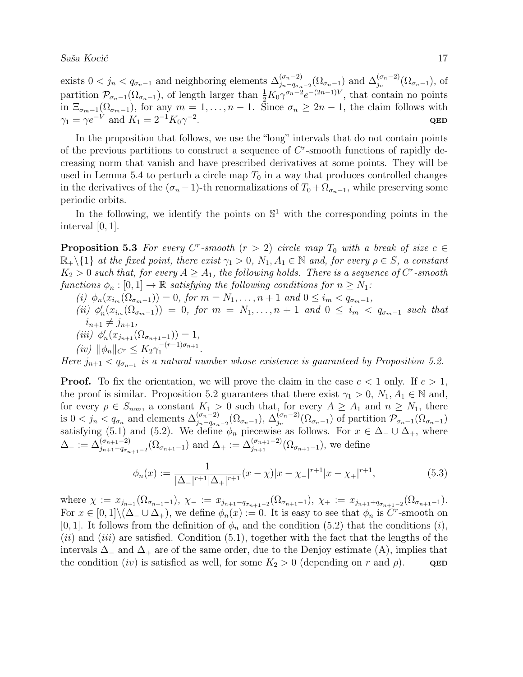exists  $0 < j_n < q_{\sigma_n-1}$  and neighboring elements  $\Delta_{j_n-q_{\sigma_n}}^{(\sigma_n-2)}$  $_{j_n-q_{\sigma_n-2}}^{(\sigma_n-2)}(\Omega_{\sigma_n-1})$  and  $\Delta_{j_n}^{(\sigma_n-2)}$  $j_n^{(\sigma_n-2)}(\Omega_{\sigma_n-1}),$  of partition  $\mathcal{P}_{\sigma_n-1}(\Omega_{\sigma_n-1})$ , of length larger than  $\frac{1}{2}K_0\gamma^{\sigma_n-2}e^{-(2n-1)V}$ , that contain no points in  $\Xi_{\sigma_{m-1}}(\Omega_{\sigma_{m-1}})$ , for any  $m=1,\ldots,n-1$ . Since  $\sigma_n\geq 2n-1$ , the claim follows with  $\gamma_1 = \gamma e^{-V}$  and  $K_1 = 2^{-1} K_0 \gamma^{-2}$ . QED

In the proposition that follows, we use the "long" intervals that do not contain points of the previous partitions to construct a sequence of  $C<sup>r</sup>$ -smooth functions of rapidly decreasing norm that vanish and have prescribed derivatives at some points. They will be used in Lemma 5.4 to perturb a circle map  $T_0$  in a way that produces controlled changes in the derivatives of the  $(\sigma_n - 1)$ -th renormalizations of  $T_0 + \Omega_{\sigma_n-1}$ , while preserving some periodic orbits.

In the following, we identify the points on  $\mathbb{S}^1$  with the corresponding points in the interval [0, 1].

**Proposition 5.3** For every C<sup>r</sup>-smooth  $(r > 2)$  circle map  $T_0$  with a break of size  $c \in$  $\mathbb{R}_+\setminus\{1\}$  at the fixed point, there exist  $\gamma_1 > 0$ ,  $N_1, A_1 \in \mathbb{N}$  and, for every  $\rho \in S$ , a constant  $K_2 > 0$  such that, for every  $A \geq A_1$ , the following holds. There is a sequence of  $C^r$ -smooth functions  $\phi_n : [0,1] \to \mathbb{R}$  satisfying the following conditions for  $n \geq N_1$ :

- (i)  $\phi_n(x_{i_m}(\Omega_{\sigma_{m-1}})) = 0$ , for  $m = N_1, \ldots, n+1$  and  $0 \leq i_m < q_{\sigma_{m-1}}$ ,
- (ii)  $\phi'_n(x_{i_m}(\Omega_{\sigma_m-1})) = 0$ , for  $m = N_1, \ldots, n+1$  and  $0 \leq i_m < q_{\sigma_m-1}$  such that  $i_{n+1} \neq j_{n+1},$
- (iii)  $\phi'_n(x_{j_{n+1}}(\Omega_{\sigma_{n+1}-1})) = 1,$
- $(iv)$   $\|\phi_n\|_{C^r} \leq K_2 \gamma_1^{-(r-1)\sigma_{n+1}}$  $\frac{-(r-1)\sigma_{n+1}}{1}$ .

Here  $j_{n+1} < q_{\sigma_{n+1}}$  is a natural number whose existence is guaranteed by Proposition 5.2.

**Proof.** To fix the orientation, we will prove the claim in the case  $c < 1$  only. If  $c > 1$ , the proof is similar. Proposition 5.2 guarantees that there exist  $\gamma_1 > 0$ ,  $N_1, A_1 \in \mathbb{N}$  and, for every  $\rho \in S_{non}$ , a constant  $K_1 > 0$  such that, for every  $A \geq A_1$  and  $n \geq N_1$ , there is  $0 < j_n < q_{\sigma_n}$  and elements  $\Delta_{j_n-q_{\sigma_n}}^{(\sigma_n-2)}$  $_{j_n-q_{\sigma_n-2}}^{(\sigma_n-2)}(\Omega_{\sigma_n-1}),\,\Delta_{j_n}^{(\sigma_n-2)}$  $j_n^{(\sigma_n-2)}(\Omega_{\sigma_n-1})$  of partition  $\mathcal{P}_{\sigma_n-1}(\Omega_{\sigma_n-1})$ satisfying (5.1) and (5.2). We define  $\phi_n$  piecewise as follows. For  $x \in \Delta_-\cup \Delta_+$ , where  $\Delta_-\coloneqq \Delta_{j_{n+1}-q_{\sigma_{n+1}-2}}^{(\sigma_{n+1}-2)}(\Omega_{\sigma_{n+1}-1})$  and  $\Delta_+:=\Delta_{j_{n+1}}^{(\sigma_{n+1}-2)}(\Omega_{\sigma_{n+1}-1})$ , we define

$$
\phi_n(x) := \frac{1}{|\Delta_-|^{r+1} |\Delta_+|^{r+1}} (x - \chi)|x - \chi_-|^{r+1} |x - \chi_+|^{r+1},\tag{5.3}
$$

where  $\chi := x_{j_{n+1}}(\Omega_{\sigma_{n+1}-1}), \ \chi_{-} := x_{j_{n+1}-q_{\sigma_{n+1}-2}}(\Omega_{\sigma_{n+1}-1}), \ \chi_{+} := x_{j_{n+1}+q_{\sigma_{n+1}-2}}(\Omega_{\sigma_{n+1}-1}).$ For  $x \in [0,1] \setminus (\Delta_- \cup \Delta_+)$ , we define  $\phi_n(x) := 0$ . It is easy to see that  $\phi_n$  is C<sup>r</sup>-smooth on [0, 1]. It follows from the definition of  $\phi_n$  and the condition (5.2) that the conditions (*i*),  $(ii)$  and  $(iii)$  are satisfied. Condition  $(5.1)$ , together with the fact that the lengths of the intervals  $\Delta_-\$  and  $\Delta_+$  are of the same order, due to the Denjoy estimate (A), implies that the condition (iv) is satisfied as well, for some  $K_2 > 0$  (depending on r and  $\rho$ ). QED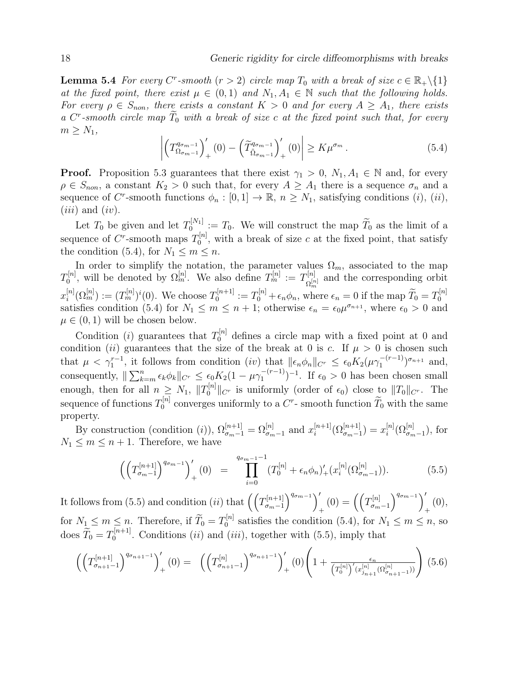**Lemma 5.4** For every C<sup>r</sup>-smooth  $(r > 2)$  circle map  $T_0$  with a break of size  $c \in \mathbb{R}_+ \setminus \{1\}$ at the fixed point, there exist  $\mu \in (0,1)$  and  $N_1, A_1 \in \mathbb{N}$  such that the following holds. For every  $\rho \in S_{non}$ , there exists a constant  $K > 0$  and for every  $A \geq A_1$ , there exists a  $C^r$ -smooth circle map  $\overline{T}_0$  with a break of size c at the fixed point such that, for every  $m \geq N_1$ ,

$$
\left| \left( T_{\Omega_{\sigma_{m-1}}}^{q_{\sigma_{m-1}}} \right)'_{+} (0) - \left( \tilde{T}_{\tilde{\Omega}_{\sigma_{m-1}}}^{q_{\sigma_{m-1}}} \right)'_{+} (0) \right| \geq K \mu^{\sigma_{m}} . \tag{5.4}
$$

**Proof.** Proposition 5.3 guarantees that there exist  $\gamma_1 > 0$ ,  $N_1, A_1 \in \mathbb{N}$  and, for every  $\rho \in S_{non}$ , a constant  $K_2 > 0$  such that, for every  $A \geq A_1$  there is a sequence  $\sigma_n$  and a sequence of C<sup>r</sup>-smooth functions  $\phi_n : [0,1] \to \mathbb{R}, n \geq N_1$ , satisfying conditions (i), (ii),  $(iii)$  and  $(iv)$ .

Let  $T_0$  be given and let  $T_0^{[N_1]}$  $\mathcal{I}_0^{[N_1]} := T_0$ . We will construct the map  $T_0$  as the limit of a sequence of C<sup>r</sup>-smooth maps  $T_0^{[n]}$  $\mathbb{Q}_0^{[n]}$ , with a break of size c at the fixed point, that satisfy the condition (5.4), for  $N_1 \leq m \leq n$ .

In order to simplify the notation, the parameter values  $\Omega_m$ , associated to the map  $T_0^{[n]}$  $\Omega_0^{[n]}$ , will be denoted by  $\Omega_m^{[n]}$ . We also define  $T_m^{[n]} := T_{\Omega_m^{[n]}}^{[n]}$  $\Omega_m^{[n]}$  and the corresponding orbit m  $x_i^{[n]}$  $i_{i}^{[n]}(\Omega_{m}^{[n]}):=(T_{m}^{[n]})^{i}(0).$  We choose  $T_{0}^{[n+1]}$  $\sigma_0^{[n+1]} := T_0^{[n]} + \epsilon_n \phi_n$ , where  $\epsilon_n = 0$  if the map  $\widetilde{T}_0 = T_0^{[n]}$  $\boldsymbol{0}$ satisfies condition (5.4) for  $N_1 \leq m \leq n+1$ ; otherwise  $\epsilon_n = \epsilon_0 \mu^{\sigma_{n+1}}$ , where  $\epsilon_0 > 0$  and  $\mu \in (0,1)$  will be chosen below.

Condition (*i*) guarantees that  $T_0^{[n]}$  defines a circle map with a fixed point at 0 and condition (ii) guarantees that the size of the break at 0 is c. If  $\mu > 0$  is chosen such that  $\mu < \gamma_1^{r-1}$ , it follows from condition (iv) that  $||\epsilon_n \phi_n||_{C^r} \leq \epsilon_0 K_2(\mu \gamma_1^{-(r-1)})$  $\binom{-(r-1)}{1}^{\sigma_{n+1}}$  and, consequently,  $\|\sum_{k=m}^{n} \epsilon_k \phi_k\|_{C^r} \leq \epsilon_0 K_2(1 - \mu \gamma_1^{-(r-1)})$  $\binom{-(r-1)}{1}$ <sup>-1</sup>. If  $\epsilon_0 > 0$  has been chosen small enough, then for all  $n \geq N_1$ ,  $||T_0^{[n]}||_{C^r}$  is uniformly (order of  $\epsilon_0$ ) close to  $||T_0||_{C^r}$ . The sequence of functions  $T_0^{[n]}$  $\tilde{C}_0^{[n]}$  converges uniformly to a  $C^r$ - smooth function  $\tilde{T}_0$  with the same property.

By construction (condition (i)),  $\Omega_{\sigma_{m-1}}^{[n+1]} = \Omega_{\sigma_{m-1}}^{[n]}$  and  $x_i^{[n+1]}$  $\binom{[n+1]}{i}$  $\left(\Omega_{\sigma_{m-1}}^{[n+1]}\right) = x_i^{[n]}$  $\delta_{i}^{[n]}(\Omega_{\sigma_{m}-1}^{[n]}),$  for  $N_1 \leq m \leq n+1$ . Therefore, we have

$$
\left(\left(T_{\sigma_{m-1}}^{[n+1]}\right)^{q_{\sigma_{m-1}}}\right)'_{+}(0) = \prod_{i=0}^{q_{\sigma_{m-1}-1}} (T_0^{[n]} + \epsilon_n \phi_n)'_{+}(x_i^{[n]}(\Omega_{\sigma_{m-1}}^{[n]})). \tag{5.5}
$$

It follows from (5.5) and condition (ii) that  $\left(\frac{T_{m-1}^{[n+1]}}{T_{m-1}^{[n+1]}}\right)$  $\left(\sigma_{m-1}^{[n+1]}\right)^{q_{\sigma_{m-1}}}\Big)$  $\left( \begin{smallmatrix} I \ 1 \end{smallmatrix} \right) = \left( \begin{smallmatrix} \begin{smallmatrix} I \end{smallmatrix} \left[ n \right] \ \sigma_m \end{smallmatrix} \right)$  $\sigma_{m-1}^{[n]}\bigg)^{q_{\sigma_{m}-1}}\bigg)^{\prime}$  $_{+}^{\left( 0\right) ,}$ for  $N_1 \leq m \leq n$ . Therefore, if  $\widetilde{T}_0 = T_0^{[n]}$  $0_0^{\eta n}$  satisfies the condition (5.4), for  $N_1 \le m \le n$ , so does  $\widetilde{T}_0 = T_0^{[n+1]}$  $_{0}^{[n+1]}$ . Conditions *(ii)* and *(iii)*, together with (5.5), imply that

$$
\left(\left(T_{\sigma_{n+1}-1}^{[n+1]}\right)^{q_{\sigma_{n+1}-1}}\right)'_{+}(0) = \left(\left(T_{\sigma_{n+1}-1}^{[n]}\right)^{q_{\sigma_{n+1}-1}}\right)'_{+}(0)\left(1+\frac{\epsilon_n}{\left(T_0^{[n]}\right)'(x_{j_{n+1}}^{[n]}(\Omega_{\sigma_{n+1}-1}^{[n]}))}\right) (5.6)
$$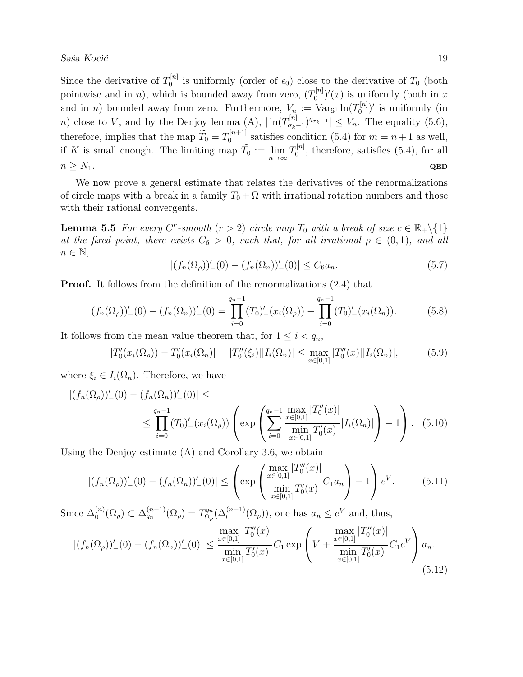Since the derivative of  $T_0^{[n]}$  $\mathcal{O}_0^{[n]}$  is uniformly (order of  $\epsilon_0$ ) close to the derivative of  $T_0$  (both pointwise and in *n*), which is bounded away from zero,  $(T_0^{[n]}$  $\binom{[n]}{0}$ '(x) is uniformly (both in x and in *n*) bounded away from zero. Furthermore,  $V_n := \text{Var}_{\mathbb{S}^1} \ln(T_0^{[n]}$  $\binom{[n]}{0}$ ' is uniformly (in *n*) close to V, and by the Denjoy lemma (A),  $\ln(T_{\sigma_{\rm b}}^{[n]})$  $\left|\sigma_{k-1}^{[n]} \right|^{q_{\sigma_{k}-1}} \leq V_n$ . The equality  $(5.6)$ , therefore, implies that the map  $\widetilde{T}_0 = T_0^{[n+1]}$  $\int_0^{\lfloor n+1 \rfloor}$  satisfies condition (5.4) for  $m = n+1$  as well, if K is small enough. The limiting map  $\widetilde{T}_0 := \lim_{n \to \infty} T_0^{[n]}$  $_0^{\eta_1}$ , therefore, satisfies (5.4), for all  $n \geq N_1$ . QED

We now prove a general estimate that relates the derivatives of the renormalizations of circle maps with a break in a family  $T_0 + \Omega$  with irrational rotation numbers and those with their rational convergents.

**Lemma 5.5** For every C<sup>r</sup>-smooth  $(r > 2)$  circle map  $T_0$  with a break of size  $c \in \mathbb{R}_+ \setminus \{1\}$ at the fixed point, there exists  $C_6 > 0$ , such that, for all irrational  $\rho \in (0,1)$ , and all  $n \in \mathbb{N}$ ,

$$
|(f_n(\Omega_\rho))'_{-}(0) - (f_n(\Omega_n))'_{-}(0)| \le C_6 a_n.
$$
\n(5.7)

Proof. It follows from the definition of the renormalizations (2.4) that

$$
(f_n(\Omega_\rho))'_{-}(0) - (f_n(\Omega_n))'_{-}(0) = \prod_{i=0}^{q_n-1} (T_0)'_{-}(x_i(\Omega_\rho)) - \prod_{i=0}^{q_n-1} (T_0)'_{-}(x_i(\Omega_n)).
$$
\n(5.8)

It follows from the mean value theorem that, for  $1 \leq i < q_n$ ,

$$
|T_0'(x_i(\Omega_\rho)) - T_0'(x_i(\Omega_n))| = |T_0''(\xi_i)||I_i(\Omega_n)| \le \max_{x \in [0,1]} |T_0''(x)||I_i(\Omega_n)|,
$$
(5.9)

where  $\xi_i \in I_i(\Omega_n)$ . Therefore, we have

$$
|(f_n(\Omega_\rho))'_{-}(0) - (f_n(\Omega_n))'_{-}(0)| \le
$$
  

$$
\leq \prod_{i=0}^{q_n-1} (T_0)'_{-}(x_i(\Omega_\rho)) \left( \exp\left( \sum_{i=0}^{q_n-1} \frac{\max\limits_{x \in [0,1]} |T_0''(x)|}{\min\limits_{x \in [0,1]} T_0'(x)} |I_i(\Omega_n)| \right) - 1 \right).
$$
 (5.10)

Using the Denjoy estimate (A) and Corollary 3.6, we obtain

$$
|(f_n(\Omega_\rho))'_{-}(0) - (f_n(\Omega_n))'_{-}(0)| \leq \left(\exp\left(\frac{\max\limits_{x \in [0,1]} |T_0''(x)|}{\min\limits_{x \in [0,1]} T_0'(x)} C_1 a_n\right) - 1\right) e^V. \tag{5.11}
$$

Since  $\Delta_0^{(n)}$  $\mathcal{O}_0^{(n)}(\Omega_\rho) \subset \Delta_{q_n}^{(n-1)}(\Omega_\rho) = T_{\Omega_\rho}^{q_n}$  $\Omega_{\alpha}^{qn}(\Delta_0^{(n-1)}(\Omega_\rho)),$  one has  $a_n \leq e^V$  and, thus,

$$
|(f_n(\Omega_\rho))'_{-}(0) - (f_n(\Omega_n))'_{-}(0)| \le \frac{\max\limits_{x \in [0,1]} |T_0''(x)|}{\min\limits_{x \in [0,1]} T_0'(x)} C_1 \exp\left(V + \frac{\max\limits_{x \in [0,1]} |T_0''(x)|}{\min\limits_{x \in [0,1]} T_0'(x)} C_1 e^V\right) a_n.
$$
\n(5.12)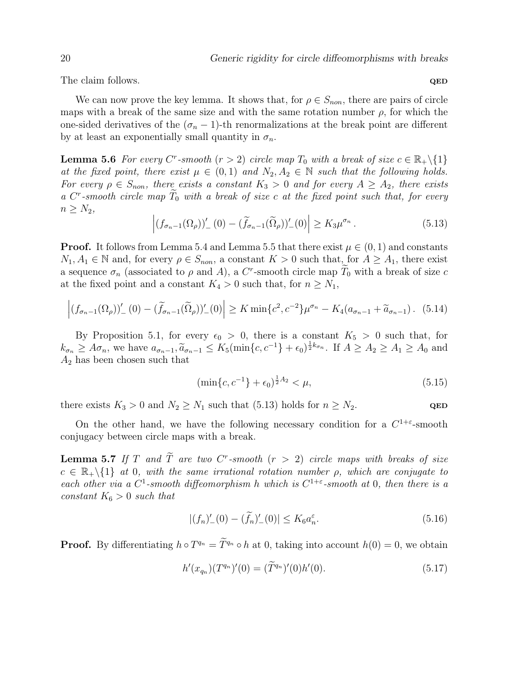The claim follows.  $QED$ 

We can now prove the key lemma. It shows that, for  $\rho \in S_{non}$ , there are pairs of circle maps with a break of the same size and with the same rotation number  $\rho$ , for which the one-sided derivatives of the  $(\sigma_n - 1)$ -th renormalizations at the break point are different by at least an exponentially small quantity in  $\sigma_n$ .

**Lemma 5.6** For every C<sup>r</sup>-smooth ( $r > 2$ ) circle map  $T_0$  with a break of size  $c \in \mathbb{R}_+ \setminus \{1\}$ at the fixed point, there exist  $\mu \in (0,1)$  and  $N_2, A_2 \in \mathbb{N}$  such that the following holds. For every  $\rho \in S_{non}$ , there exists a constant  $K_3 > 0$  and for every  $A \geq A_2$ , there exists a  $C^r$ -smooth circle map  $\widetilde{T}_0$  with a break of size c at the fixed point such that, for every  $n \geq N_2$ ,

$$
\left| \left( f_{\sigma_n - 1}(\Omega_\rho) \right)'_{-}(0) - \left( \widetilde{f}_{\sigma_n - 1}(\widetilde{\Omega}_\rho) \right)'_{-}(0) \right| \ge K_3 \mu^{\sigma_n} \,. \tag{5.13}
$$

**Proof.** It follows from Lemma 5.4 and Lemma 5.5 that there exist  $\mu \in (0,1)$  and constants  $N_1, A_1 \in \mathbb{N}$  and, for every  $\rho \in S_{non}$ , a constant  $K > 0$  such that, for  $A \geq A_1$ , there exist a sequence  $\sigma_n$  (associated to  $\rho$  and A), a C<sup>r</sup>-smooth circle map  $\widetilde{T}_0$  with a break of size c at the fixed point and a constant  $K_4 > 0$  such that, for  $n \geq N_1$ ,

$$
\left| (f_{\sigma_{n-1}}(\Omega_{\rho}))'_{-}(0) - (\widetilde{f}_{\sigma_{n-1}}(\widetilde{\Omega}_{\rho}))'_{-}(0) \right| \geq K \min \{c^2, c^{-2}\} \mu^{\sigma_n} - K_4(a_{\sigma_{n-1}} + \widetilde{a}_{\sigma_{n-1}}). \tag{5.14}
$$

By Proposition 5.1, for every  $\epsilon_0 > 0$ , there is a constant  $K_5 > 0$  such that, for  $k_{\sigma_n} \geq A\sigma_n$ , we have  $a_{\sigma_{n-1}}$ ,  $\tilde{a}_{\sigma_{n-1}} \leq K_5(\min\{c,c^{-1}\} + \epsilon_0)^{\frac{1}{2}k_{\sigma_n}}$ . If  $A \geq A_2 \geq A_1 \geq A_0$  and  $A_1$  has been chosen such that  $A_2$  has been chosen such that

$$
\left(\min\{c, c^{-1}\} + \epsilon_0\right)^{\frac{1}{2}A_2} < \mu,\tag{5.15}
$$

there exists  $K_3 > 0$  and  $N_2 \ge N_1$  such that (5.13) holds for  $n \ge N_2$ . QED

On the other hand, we have the following necessary condition for a  $C^{1+\epsilon}$ -smooth conjugacy between circle maps with a break.

**Lemma 5.7** If T and  $\tilde{T}$  are two  $C^r$ -smooth  $(r > 2)$  circle maps with breaks of size  $c \in \mathbb{R}_+ \backslash \{1\}$  at 0, with the same irrational rotation number  $\rho$ , which are conjugate to each other via a C<sup>1</sup>-smooth diffeomorphism h which is  $C^{1+\epsilon}$ -smooth at 0, then there is a constant  $K_6 > 0$  such that

$$
|(f_n)'_-(0) - (\tilde{f}_n)'_-(0)| \le K_6 a_n^{\varepsilon}.
$$
\n(5.16)

**Proof.** By differentiating  $h \circ T^{q_n} = \tilde{T}^{q_n} \circ h$  at 0, taking into account  $h(0) = 0$ , we obtain

$$
h'(x_{q_n})(T^{q_n})'(0) = (\tilde{T}^{q_n})'(0)h'(0).
$$
\n(5.17)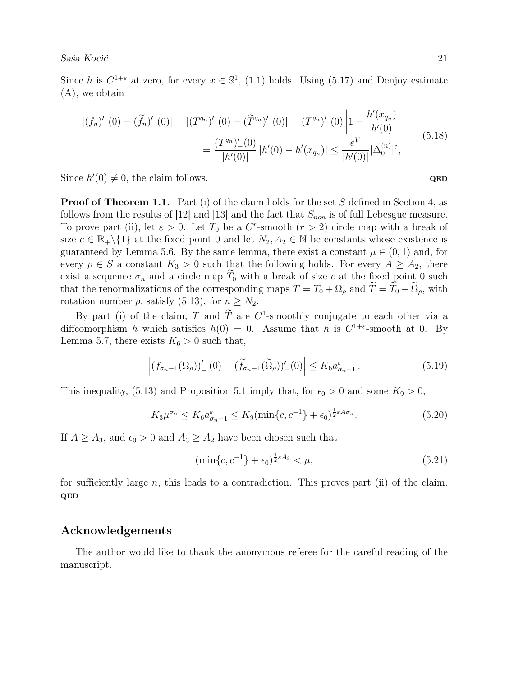Since h is  $C^{1+\varepsilon}$  at zero, for every  $x \in \mathbb{S}^1$ , (1.1) holds. Using (5.17) and Denjoy estimate (A), we obtain

$$
|(f_n)'_-(0) - (\widetilde{f}_n)'_-(0)| = |(T^{q_n})'_-(0) - (\widetilde{T}^{q_n})'_-(0)| = (T^{q_n})'_-(0) \left| 1 - \frac{h'(x_{q_n})}{h'(0)} \right|
$$
  

$$
= \frac{(T^{q_n})'_-(0)}{|h'(0)|} |h'(0) - h'(x_{q_n})| \le \frac{e^V}{|h'(0)|} |\Delta_0^{(n)}|^\varepsilon,
$$
(5.18)

Since  $h'(0) \neq 0$ , the claim follows. QED

**Proof of Theorem 1.1.** Part (i) of the claim holds for the set S defined in Section 4, as follows from the results of [12] and [13] and the fact that  $S_{non}$  is of full Lebesgue measure. To prove part (ii), let  $\varepsilon > 0$ . Let  $T_0$  be a  $C^r$ -smooth  $(r > 2)$  circle map with a break of size  $c \in \mathbb{R}_+ \backslash \{1\}$  at the fixed point 0 and let  $N_2, A_2 \in \mathbb{N}$  be constants whose existence is guaranteed by Lemma 5.6. By the same lemma, there exist a constant  $\mu \in (0,1)$  and, for every  $\rho \in S$  a constant  $K_3 > 0$  such that the following holds. For every  $A \geq A_2$ , there exist a sequence  $\sigma_n$  and a circle map  $\tilde{T}_0$  with a break of size c at the fixed point 0 such that the renormalizations of the corresponding maps  $T = T_0 + \Omega_\rho$  and  $\widetilde{T} = \widetilde{T}_0 + \widetilde{\Omega}_\rho$ , with rotation number  $\rho$ , satisfy (5.13), for  $n \geq N_2$ .

By part (i) of the claim, T and  $\tilde{T}$  are  $C^1$ -smoothly conjugate to each other via a diffeomorphism h which satisfies  $h(0) = 0$ . Assume that h is  $C^{1+\varepsilon}$ -smooth at 0. By Lemma 5.7, there exists  $K_6 > 0$  such that,

$$
\left| \left( f_{\sigma_n - 1}(\Omega_\rho) \right)'_{-}(0) - \left( \widetilde{f}_{\sigma_n - 1}(\widetilde{\Omega}_\rho) \right)'_{-}(0) \right| \le K_6 a_{\sigma_n - 1}^{\varepsilon} . \tag{5.19}
$$

This inequality, (5.13) and Proposition 5.1 imply that, for  $\epsilon_0 > 0$  and some  $K_9 > 0$ ,

$$
K_3\mu^{\sigma_n} \le K_6 a_{\sigma_n-1}^{\varepsilon} \le K_9(\min\{c, c^{-1}\} + \epsilon_0)^{\frac{1}{2}\varepsilon A \sigma_n}.\tag{5.20}
$$

If  $A \geq A_3$ , and  $\epsilon_0 > 0$  and  $A_3 \geq A_2$  have been chosen such that

$$
(\min\{c, c^{-1}\} + \epsilon_0)^{\frac{1}{2}\varepsilon A_3} < \mu,\tag{5.21}
$$

for sufficiently large n, this leads to a contradiction. This proves part (ii) of the claim. QED

### Acknowledgements

The author would like to thank the anonymous referee for the careful reading of the manuscript.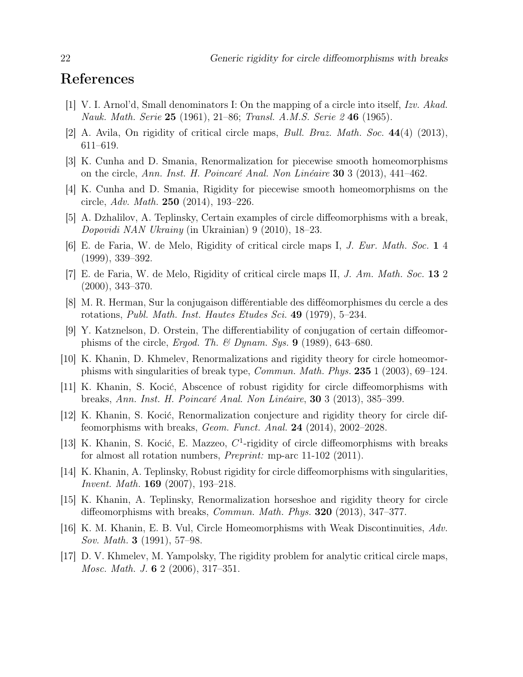# References

- [1] V. I. Arnol'd, Small denominators I: On the mapping of a circle into itself, Izv. Akad. Nauk. Math. Serie 25 (1961), 21–86; Transl. A.M.S. Serie 2 46 (1965).
- [2] A. Avila, On rigidity of critical circle maps, Bull. Braz. Math. Soc. 44(4) (2013), 611–619.
- [3] K. Cunha and D. Smania, Renormalization for piecewise smooth homeomorphisms on the circle, Ann. Inst. H. Poincaré Anal. Non Linéaire 30 3 (2013), 441–462.
- [4] K. Cunha and D. Smania, Rigidity for piecewise smooth homeomorphisms on the circle, Adv. Math. 250 (2014), 193–226.
- [5] A. Dzhalilov, A. Teplinsky, Certain examples of circle diffeomorphisms with a break, Dopovidi NAN Ukrainy (in Ukrainian) 9 (2010), 18–23.
- [6] E. de Faria, W. de Melo, Rigidity of critical circle maps I, J. Eur. Math. Soc. 1 4 (1999), 339–392.
- [7] E. de Faria, W. de Melo, Rigidity of critical circle maps II, J. Am. Math. Soc. 13 2 (2000), 343–370.
- [8] M. R. Herman, Sur la conjugaison différentiable des difféomorphismes du cercle a des rotations, Publ. Math. Inst. Hautes Etudes Sci. 49 (1979), 5–234.
- [9] Y. Katznelson, D. Orstein, The differentiability of conjugation of certain diffeomorphisms of the circle, Ergod. Th. & Dynam. Sys.  $9$  (1989), 643–680.
- [10] K. Khanin, D. Khmelev, Renormalizations and rigidity theory for circle homeomorphisms with singularities of break type, Commun. Math. Phys. 235 1 (2003), 69–124.
- [11] K. Khanin, S. Kocić, Abscence of robust rigidity for circle diffeomorphisms with breaks, Ann. Inst. H. Poincaré Anal. Non Linéaire, 30 3 (2013), 385–399.
- [12] K. Khanin, S. Kocić, Renormalization conjecture and rigidity theory for circle diffeomorphisms with breaks, Geom. Funct. Anal. 24 (2014), 2002–2028.
- [13] K. Khanin, S. Kocić, E. Mazzeo,  $C<sup>1</sup>$ -rigidity of circle diffeomorphisms with breaks for almost all rotation numbers, Preprint: mp-arc 11-102 (2011).
- [14] K. Khanin, A. Teplinsky, Robust rigidity for circle diffeomorphisms with singularities, Invent. Math. 169 (2007), 193–218.
- [15] K. Khanin, A. Teplinsky, Renormalization horseshoe and rigidity theory for circle diffeomorphisms with breaks, *Commun. Math. Phys.* **320** (2013), 347–377.
- [16] K. M. Khanin, E. B. Vul, Circle Homeomorphisms with Weak Discontinuities, Adv. Sov. Math. 3 (1991), 57–98.
- [17] D. V. Khmelev, M. Yampolsky, The rigidity problem for analytic critical circle maps, Mosc. Math. J. **6** 2 (2006), 317–351.